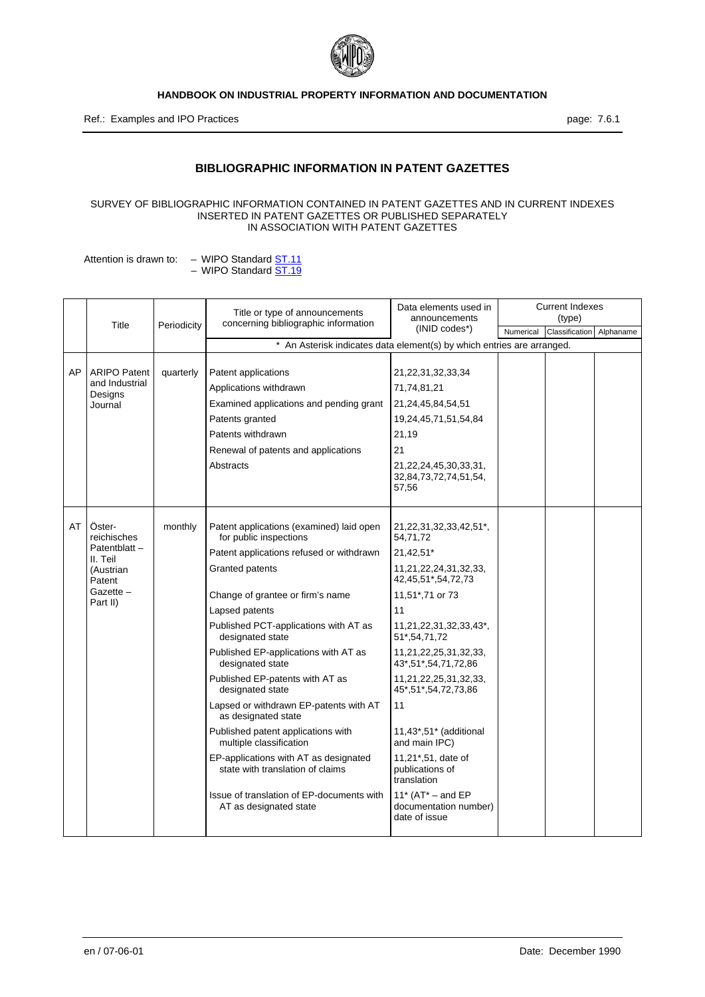

Ref.: Examples and IPO Practices **page: 7.6.1** 

# **BIBLIOGRAPHIC INFORMATION IN PATENT GAZETTES**

#### SURVEY OF BIBLIOGRAPHIC INFORMATION CONTAINED IN PATENT GAZETTES AND IN CURRENT INDEXES INSERTED IN PATENT GAZETTES OR PUBLISHED SEPARATELY IN ASSOCIATION WITH PATENT GAZETTES

Attention is drawn to: – WIPO Standard ST.11 – WIPO Standard <u>ST.19</u>

|    | Title                                                                      | Periodicity | Title or type of announcements<br>concerning bibliographic information    | Data elements used in<br>announcements                          |           | <b>Current Indexes</b><br>(type) |           |
|----|----------------------------------------------------------------------------|-------------|---------------------------------------------------------------------------|-----------------------------------------------------------------|-----------|----------------------------------|-----------|
|    |                                                                            |             |                                                                           | $(INID codes*)$                                                 | Numerical | Classification                   | Alphaname |
|    |                                                                            |             | * An Asterisk indicates data element(s) by which entries are arranged.    |                                                                 |           |                                  |           |
| AP | <b>ARIPO Patent</b>                                                        | quarterly   | Patent applications                                                       | 21,22,31,32,33,34                                               |           |                                  |           |
|    | and Industrial<br>Designs                                                  |             | Applications withdrawn                                                    | 71,74,81,21                                                     |           |                                  |           |
|    | Journal                                                                    |             | Examined applications and pending grant                                   | 21,24,45,84,54,51                                               |           |                                  |           |
|    |                                                                            |             | Patents granted                                                           | 19,24,45,71,51,54,84                                            |           |                                  |           |
|    |                                                                            |             | Patents withdrawn                                                         | 21,19                                                           |           |                                  |           |
|    |                                                                            |             | Renewal of patents and applications                                       | 21                                                              |           |                                  |           |
|    |                                                                            |             | Abstracts                                                                 | 21, 22, 24, 45, 30, 33, 31,<br>32,84,73,72,74,51,54,<br>57,56   |           |                                  |           |
| AT | Öster-<br>reichisches                                                      | monthly     | Patent applications (examined) laid open<br>for public inspections        | 21, 22, 31, 32, 33, 42, 51*,<br>54,71,72                        |           |                                  |           |
|    | Patentblatt-<br>II. Teil<br>(Austrian<br>Patent<br>$Gazette -$<br>Part II) |             | Patent applications refused or withdrawn                                  | 21,42,51*                                                       |           |                                  |           |
|    |                                                                            |             | Granted patents                                                           | 11,21,22,24,31,32,33,<br>42,45,51*,54,72,73                     |           |                                  |           |
|    |                                                                            |             | Change of grantee or firm's name                                          | 11,51*,71 or 73                                                 |           |                                  |           |
|    |                                                                            |             | Lapsed patents                                                            | 11                                                              |           |                                  |           |
|    |                                                                            |             | Published PCT-applications with AT as<br>designated state                 | 11,21,22,31,32,33,43*,<br>51*,54,71,72                          |           |                                  |           |
|    |                                                                            |             | Published EP-applications with AT as<br>designated state                  | 11,21,22,25,31,32,33,<br>43*,51*,54,71,72,86                    |           |                                  |           |
|    |                                                                            |             | Published EP-patents with AT as<br>designated state                       | 11,21,22,25,31,32,33,<br>45*,51*,54,72,73,86                    |           |                                  |           |
|    |                                                                            |             | Lapsed or withdrawn EP-patents with AT<br>as designated state             | 11                                                              |           |                                  |           |
|    |                                                                            |             | Published patent applications with<br>multiple classification             | 11,43*,51* (additional<br>and main IPC)                         |           |                                  |           |
|    |                                                                            |             | EP-applications with AT as designated<br>state with translation of claims | 11,21*,51, date of<br>publications of<br>translation            |           |                                  |           |
|    |                                                                            |             | Issue of translation of EP-documents with<br>AT as designated state       | 11* $(AT^* - and EP)$<br>documentation number)<br>date of issue |           |                                  |           |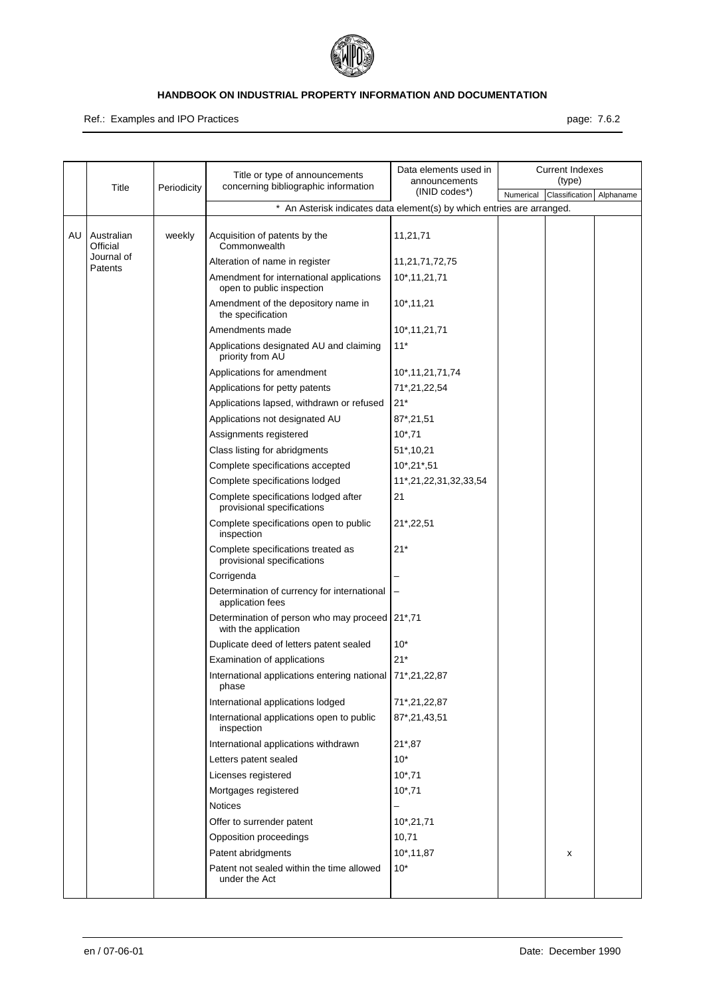

Ref.: Examples and IPO Practices **page: 7.6.2** 

|    | Title                  | Periodicity | Title or type of announcements<br>concerning bibliographic information | Data elements used in<br>announcements |           | <b>Current Indexes</b><br>(type) |           |
|----|------------------------|-------------|------------------------------------------------------------------------|----------------------------------------|-----------|----------------------------------|-----------|
|    |                        |             |                                                                        | (INID codes*)                          | Numerical | Classification                   | Alphaname |
|    |                        |             | * An Asterisk indicates data element(s) by which entries are arranged. |                                        |           |                                  |           |
| AU | Australian<br>Official | weekly      | Acquisition of patents by the<br>Commonwealth                          | 11,21,71                               |           |                                  |           |
|    | Journal of<br>Patents  |             | Alteration of name in register                                         | 11,21,71,72,75                         |           |                                  |           |
|    |                        |             | Amendment for international applications<br>open to public inspection  | 10*, 11, 21, 71                        |           |                                  |           |
|    |                        |             | Amendment of the depository name in<br>the specification               | $10^*$ , 11, 21                        |           |                                  |           |
|    |                        |             | Amendments made                                                        | 10*, 11, 21, 71                        |           |                                  |           |
|    |                        |             | Applications designated AU and claiming<br>priority from AU            | $11*$                                  |           |                                  |           |
|    |                        |             | Applications for amendment                                             | 10*, 11, 21, 71, 74                    |           |                                  |           |
|    |                        |             | Applications for petty patents                                         | 71*,21,22,54                           |           |                                  |           |
|    |                        |             | Applications lapsed, withdrawn or refused                              | $21*$                                  |           |                                  |           |
|    |                        |             | Applications not designated AU                                         | 87*,21,51                              |           |                                  |           |
|    |                        |             | Assignments registered                                                 | $10^*$ , 71                            |           |                                  |           |
|    |                        |             | Class listing for abridgments                                          | 51*,10,21                              |           |                                  |           |
|    |                        |             | Complete specifications accepted                                       | $10^*$ , $21^*$ , $51$                 |           |                                  |           |
|    |                        |             | Complete specifications lodged                                         | 11*,21,22,31,32,33,54                  |           |                                  |           |
|    |                        |             | Complete specifications lodged after<br>provisional specifications     | 21                                     |           |                                  |           |
|    |                        |             | Complete specifications open to public<br>inspection                   | 21*,22,51                              |           |                                  |           |
|    |                        |             | Complete specifications treated as<br>provisional specifications       | $21*$                                  |           |                                  |           |
|    |                        |             | Corrigenda                                                             |                                        |           |                                  |           |
|    |                        |             | Determination of currency for international<br>application fees        |                                        |           |                                  |           |
|    |                        |             | Determination of person who may proceed 21*,71<br>with the application |                                        |           |                                  |           |
|    |                        |             | Duplicate deed of letters patent sealed                                | $10*$                                  |           |                                  |           |
|    |                        |             | Examination of applications                                            | $21*$                                  |           |                                  |           |
|    |                        |             | International applications entering national<br>phase                  | 71*,21,22,87                           |           |                                  |           |
|    |                        |             | International applications lodged                                      | 71*,21,22,87                           |           |                                  |           |
|    |                        |             | International applications open to public<br>inspection                | 87*,21,43,51                           |           |                                  |           |
|    |                        |             | International applications withdrawn                                   | $21*,87$                               |           |                                  |           |
|    |                        |             | Letters patent sealed                                                  | $10*$                                  |           |                                  |           |
|    |                        |             | Licenses registered                                                    | $10^*$ ,71                             |           |                                  |           |
|    |                        |             | Mortgages registered                                                   | $10^*$ , 71                            |           |                                  |           |
|    |                        |             | <b>Notices</b>                                                         |                                        |           |                                  |           |
|    |                        |             | Offer to surrender patent                                              | $10^*$ , 21, 71                        |           |                                  |           |
|    |                        |             | Opposition proceedings                                                 | 10,71                                  |           |                                  |           |
|    |                        |             | Patent abridgments                                                     | 10*,11,87                              |           | x                                |           |
|    |                        |             | Patent not sealed within the time allowed<br>under the Act             | $10*$                                  |           |                                  |           |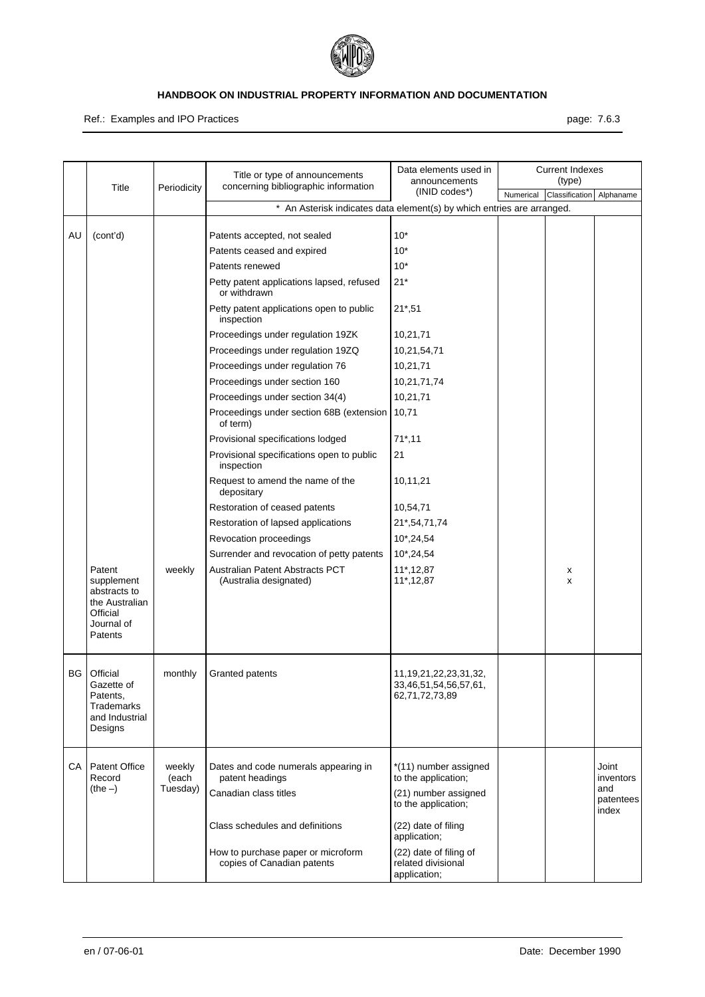

Ref.: Examples and IPO Practices **page: 7.6.3** page: 7.6.3

|    | Title                                                                                       | Periodicity     | Title or type of announcements<br>concerning bibliographic information | Data elements used in<br>announcements                                 |           | <b>Current Indexes</b><br>(type) |                           |
|----|---------------------------------------------------------------------------------------------|-----------------|------------------------------------------------------------------------|------------------------------------------------------------------------|-----------|----------------------------------|---------------------------|
|    |                                                                                             |                 |                                                                        | (INID codes*)                                                          | Numerical | Classification                   | Alphaname                 |
|    |                                                                                             |                 | * An Asterisk indicates data element(s) by which entries are arranged. |                                                                        |           |                                  |                           |
| AU | (cont'd)                                                                                    |                 | Patents accepted, not sealed                                           | $10*$                                                                  |           |                                  |                           |
|    |                                                                                             |                 | Patents ceased and expired                                             | $10*$                                                                  |           |                                  |                           |
|    |                                                                                             |                 | Patents renewed                                                        | $10*$                                                                  |           |                                  |                           |
|    |                                                                                             |                 | Petty patent applications lapsed, refused<br>or withdrawn              | $21*$                                                                  |           |                                  |                           |
|    |                                                                                             |                 | Petty patent applications open to public<br>inspection                 | $21*,51$                                                               |           |                                  |                           |
|    |                                                                                             |                 | Proceedings under regulation 19ZK                                      | 10,21,71                                                               |           |                                  |                           |
|    |                                                                                             |                 | Proceedings under regulation 19ZQ                                      | 10,21,54,71                                                            |           |                                  |                           |
|    |                                                                                             |                 | Proceedings under regulation 76                                        | 10,21,71                                                               |           |                                  |                           |
|    |                                                                                             |                 | Proceedings under section 160                                          | 10,21,71,74                                                            |           |                                  |                           |
|    |                                                                                             |                 | Proceedings under section 34(4)                                        | 10,21,71                                                               |           |                                  |                           |
|    |                                                                                             |                 | Proceedings under section 68B (extension<br>of term)                   | 10,71                                                                  |           |                                  |                           |
|    |                                                                                             |                 | Provisional specifications lodged                                      | $71^*$ , 11                                                            |           |                                  |                           |
|    |                                                                                             |                 | Provisional specifications open to public<br>inspection                | 21                                                                     |           |                                  |                           |
|    |                                                                                             |                 | Request to amend the name of the<br>depositary                         | 10,11,21                                                               |           |                                  |                           |
|    |                                                                                             |                 | Restoration of ceased patents                                          | 10,54,71                                                               |           |                                  |                           |
|    |                                                                                             |                 | Restoration of lapsed applications                                     | 21*,54,71,74                                                           |           |                                  |                           |
|    |                                                                                             |                 | Revocation proceedings                                                 | 10*,24,54                                                              |           |                                  |                           |
|    |                                                                                             |                 | Surrender and revocation of petty patents                              | 10*,24,54                                                              |           |                                  |                           |
|    | Patent<br>supplement<br>abstracts to<br>the Australian<br>Official<br>Journal of<br>Patents | weekly          | Australian Patent Abstracts PCT<br>(Australia designated)              | 11*, 12, 87<br>11*, 12, 87                                             |           | х<br>X                           |                           |
| BG | Official<br>Gazette of<br>Patents,<br>Trademarks<br>and Industrial<br>Designs               | monthly         | Granted patents                                                        | 11, 19, 21, 22, 23, 31, 32,<br>33,46,51,54,56,57,61,<br>62,71,72,73,89 |           |                                  |                           |
| CA | Patent Office<br>Record                                                                     | weekly<br>(each | Dates and code numerals appearing in<br>patent headings                | *(11) number assigned<br>to the application;                           |           |                                  | Joint<br>inventors        |
|    | $(the -)$                                                                                   | Tuesday)        | Canadian class titles                                                  | (21) number assigned<br>to the application;                            |           |                                  | and<br>patentees<br>index |
|    |                                                                                             |                 | Class schedules and definitions                                        | (22) date of filing<br>application;                                    |           |                                  |                           |
|    |                                                                                             |                 | How to purchase paper or microform<br>copies of Canadian patents       | (22) date of filing of<br>related divisional<br>application;           |           |                                  |                           |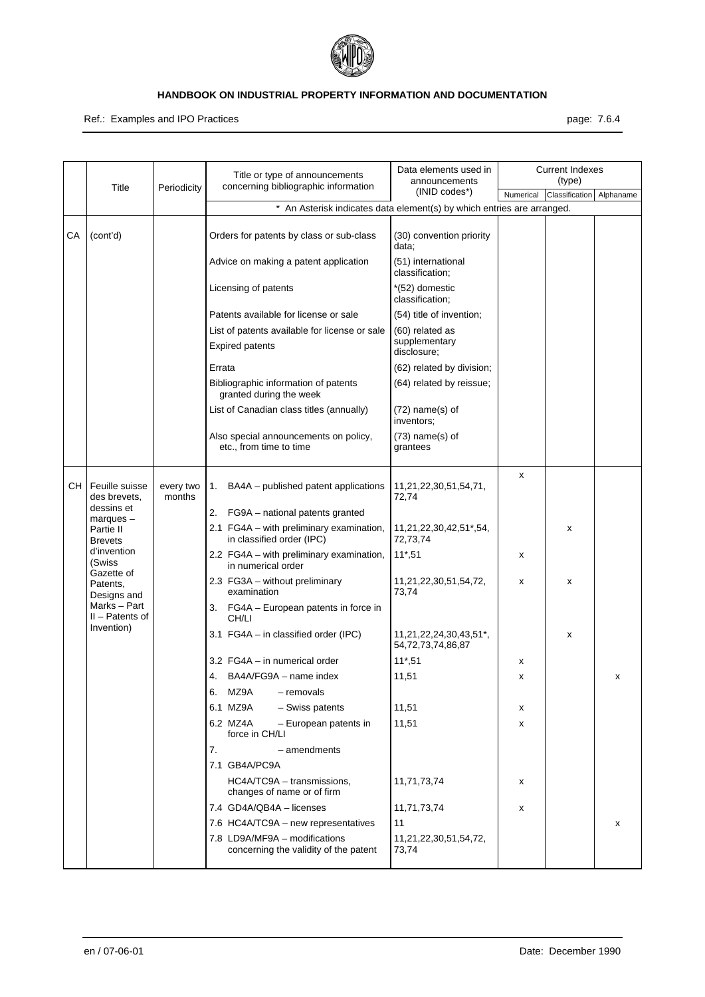

Ref.: Examples and IPO Practices **page: 7.6.4** 

|      |                                                 |                     | Title or type of announcements<br>concerning bibliographic information | Data elements used in<br>announcements      |           | <b>Current Indexes</b><br>(type) |           |
|------|-------------------------------------------------|---------------------|------------------------------------------------------------------------|---------------------------------------------|-----------|----------------------------------|-----------|
|      | Title                                           | Periodicity         |                                                                        | (INID codes*)                               | Numerical | Classification                   | Alphaname |
|      |                                                 |                     | * An Asterisk indicates data element(s) by which entries are arranged. |                                             |           |                                  |           |
| СA   | (cont'd)                                        |                     | Orders for patents by class or sub-class                               | (30) convention priority<br>data;           |           |                                  |           |
|      |                                                 |                     | Advice on making a patent application                                  | (51) international<br>classification;       |           |                                  |           |
|      |                                                 |                     | Licensing of patents                                                   | *(52) domestic<br>classification;           |           |                                  |           |
|      |                                                 |                     | Patents available for license or sale                                  | (54) title of invention;                    |           |                                  |           |
|      |                                                 |                     | List of patents available for license or sale                          | (60) related as                             |           |                                  |           |
|      |                                                 |                     | <b>Expired patents</b>                                                 | supplementary<br>disclosure;                |           |                                  |           |
|      |                                                 |                     | Errata                                                                 | (62) related by division;                   |           |                                  |           |
|      |                                                 |                     | Bibliographic information of patents<br>granted during the week        | (64) related by reissue;                    |           |                                  |           |
|      |                                                 |                     | List of Canadian class titles (annually)                               | $(72)$ name $(s)$ of<br>inventors;          |           |                                  |           |
|      |                                                 |                     | Also special announcements on policy,<br>etc., from time to time       | $(73)$ name $(s)$ of<br>grantees            |           |                                  |           |
| CH I | Feuille suisse<br>des brevets.                  | every two<br>months | BA4A – published patent applications<br>1.                             | 11,21,22,30,51,54,71,<br>72,74              | x         |                                  |           |
|      | dessins et<br>$margues -$                       |                     | 2. FG9A - national patents granted                                     |                                             |           |                                  |           |
|      | Partie II<br><b>Brevets</b>                     |                     | 2.1 FG4A - with preliminary examination,<br>in classified order (IPC)  | 11,21,22,30,42,51*,54,<br>72,73,74          |           | x                                |           |
|      | d'invention<br>(Swiss<br>Gazette of             |                     | 2.2 FG4A - with preliminary examination,<br>in numerical order         | $11*,51$                                    | x         |                                  |           |
|      | Patents,<br>Designs and                         |                     | 2.3 FG3A - without preliminary<br>examination                          | 11,21,22,30,51,54,72,<br>73,74              | x         | X                                |           |
|      | Marks - Part<br>$II - Patents$ of<br>Invention) |                     | 3. FG4A - European patents in force in<br>CH/LI                        |                                             |           |                                  |           |
|      |                                                 |                     | 3.1 FG4A - in classified order (IPC)                                   | 11,21,22,24,30,43,51*,<br>54,72,73,74,86,87 |           | х                                |           |
|      |                                                 |                     | 3.2 FG4A - in numerical order                                          | $11*,51$                                    | х         |                                  |           |
|      |                                                 |                     | 4. BA4A/FG9A - name index                                              | 11,51                                       | x         |                                  | х         |
|      |                                                 |                     | MZ9A<br>- removals<br>6.                                               |                                             |           |                                  |           |
|      |                                                 |                     | 6.1 MZ9A<br>- Swiss patents                                            | 11,51                                       | x         |                                  |           |
|      |                                                 |                     | 6.2 MZ4A<br>- European patents in<br>force in CH/LI                    | 11,51                                       | x         |                                  |           |
|      |                                                 |                     | 7.<br>- amendments                                                     |                                             |           |                                  |           |
|      |                                                 |                     | 7.1 GB4A/PC9A                                                          |                                             |           |                                  |           |
|      |                                                 |                     | HC4A/TC9A - transmissions,<br>changes of name or of firm               | 11,71,73,74                                 | x         |                                  |           |
|      |                                                 |                     | 7.4 GD4A/QB4A - licenses                                               | 11,71,73,74                                 | x         |                                  |           |
|      |                                                 |                     | 7.6 HC4A/TC9A – new representatives                                    | 11                                          |           |                                  | х         |
|      |                                                 |                     | 7.8 LD9A/MF9A - modifications<br>concerning the validity of the patent | 11,21,22,30,51,54,72,<br>73,74              |           |                                  |           |
|      |                                                 |                     |                                                                        |                                             |           |                                  |           |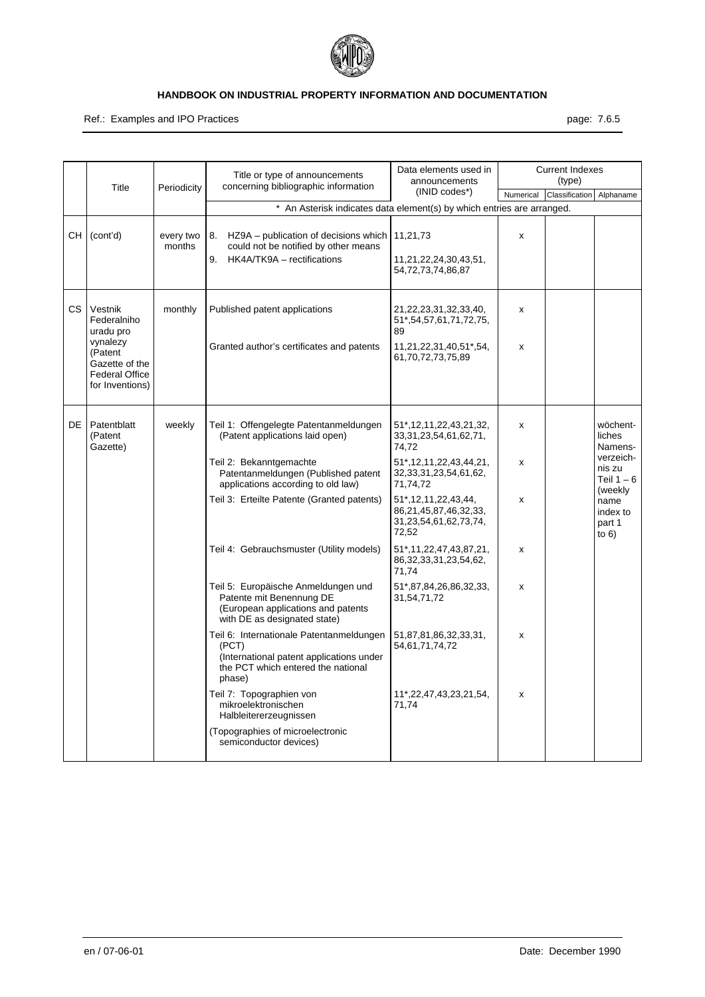

Ref.: Examples and IPO Practices **page: 7.6.5** page: 7.6.5

|      | Title                                                                                                                    | Periodicity         | Title or type of announcements<br>concerning bibliographic information                                                                                                                                                                                                                                                                                                                                                                                                                                                                                                                                                                             | Data elements used in<br>announcements                                                                                                                                                                                                                                                                                                                                                                                                |                                 | <b>Current Indexes</b><br>(type) |                                                                                                                        |
|------|--------------------------------------------------------------------------------------------------------------------------|---------------------|----------------------------------------------------------------------------------------------------------------------------------------------------------------------------------------------------------------------------------------------------------------------------------------------------------------------------------------------------------------------------------------------------------------------------------------------------------------------------------------------------------------------------------------------------------------------------------------------------------------------------------------------------|---------------------------------------------------------------------------------------------------------------------------------------------------------------------------------------------------------------------------------------------------------------------------------------------------------------------------------------------------------------------------------------------------------------------------------------|---------------------------------|----------------------------------|------------------------------------------------------------------------------------------------------------------------|
|      |                                                                                                                          |                     |                                                                                                                                                                                                                                                                                                                                                                                                                                                                                                                                                                                                                                                    | $(INID codes*)$                                                                                                                                                                                                                                                                                                                                                                                                                       | Numerical                       | Classification                   | Alphaname                                                                                                              |
|      |                                                                                                                          |                     | * An Asterisk indicates data element(s) by which entries are arranged.                                                                                                                                                                                                                                                                                                                                                                                                                                                                                                                                                                             |                                                                                                                                                                                                                                                                                                                                                                                                                                       |                                 |                                  |                                                                                                                        |
| CH I | (cont'd)                                                                                                                 | every two<br>months | HZ9A – publication of decisions which   11,21,73<br>8.<br>could not be notified by other means<br>HK4A/TK9A - rectifications<br>9.                                                                                                                                                                                                                                                                                                                                                                                                                                                                                                                 | 11,21,22,24,30,43,51,<br>54,72,73,74,86,87                                                                                                                                                                                                                                                                                                                                                                                            | x                               |                                  |                                                                                                                        |
| CS.  | Vestnik<br>Federalniho<br>uradu pro<br>vynalezy<br>(Patent<br>Gazette of the<br><b>Federal Office</b><br>for Inventions) | monthly             | Published patent applications<br>Granted author's certificates and patents                                                                                                                                                                                                                                                                                                                                                                                                                                                                                                                                                                         | 21, 22, 23, 31, 32, 33, 40,<br>51*, 54, 57, 61, 71, 72, 75,<br>89<br>11,21,22,31,40,51*,54,<br>61,70,72,73,75,89                                                                                                                                                                                                                                                                                                                      | x<br>x                          |                                  |                                                                                                                        |
| DE I | Patentblatt<br>(Patent<br>Gazette)                                                                                       | weekly              | Teil 1: Offengelegte Patentanmeldungen<br>(Patent applications laid open)<br>Teil 2: Bekanntgemachte<br>Patentanmeldungen (Published patent<br>applications according to old law)<br>Teil 3: Erteilte Patente (Granted patents)<br>Teil 4: Gebrauchsmuster (Utility models)<br>Teil 5: Europäische Anmeldungen und<br>Patente mit Benennung DE<br>(European applications and patents<br>with DE as designated state)<br>Teil 6: Internationale Patentanmeldungen<br>(PCT)<br>(International patent applications under<br>the PCT which entered the national<br>phase)<br>Teil 7: Topographien von<br>mikroelektronischen<br>Halbleitererzeugnissen | 51*, 12, 11, 22, 43, 21, 32,<br>33, 31, 23, 54, 61, 62, 71,<br>74,72<br>51*, 12, 11, 22, 43, 44, 21,<br>32, 33, 31, 23, 54, 61, 62,<br>71,74,72<br>51*, 12, 11, 22, 43, 44,<br>86,21,45,87,46,32,33,<br>31,23,54,61,62,73,74,<br>72,52<br>51*, 11, 22, 47, 43, 87, 21,<br>86, 32, 33, 31, 23, 54, 62,<br>71,74<br>51*,87,84,26,86,32,33,<br>31,54,71,72<br>51,87,81,86,32,33,31,<br>54,61,71,74,72<br>11*,22,47,43,23,21,54,<br>71,74 | x<br>X<br>x<br>x<br>x<br>X<br>X |                                  | wöchent-<br>liches<br>Namens-<br>verzeich-<br>nis zu<br>Teil $1-6$<br>(weekly<br>name<br>index to<br>part 1<br>to $6)$ |
|      |                                                                                                                          |                     | (Topographies of microelectronic<br>semiconductor devices)                                                                                                                                                                                                                                                                                                                                                                                                                                                                                                                                                                                         |                                                                                                                                                                                                                                                                                                                                                                                                                                       |                                 |                                  |                                                                                                                        |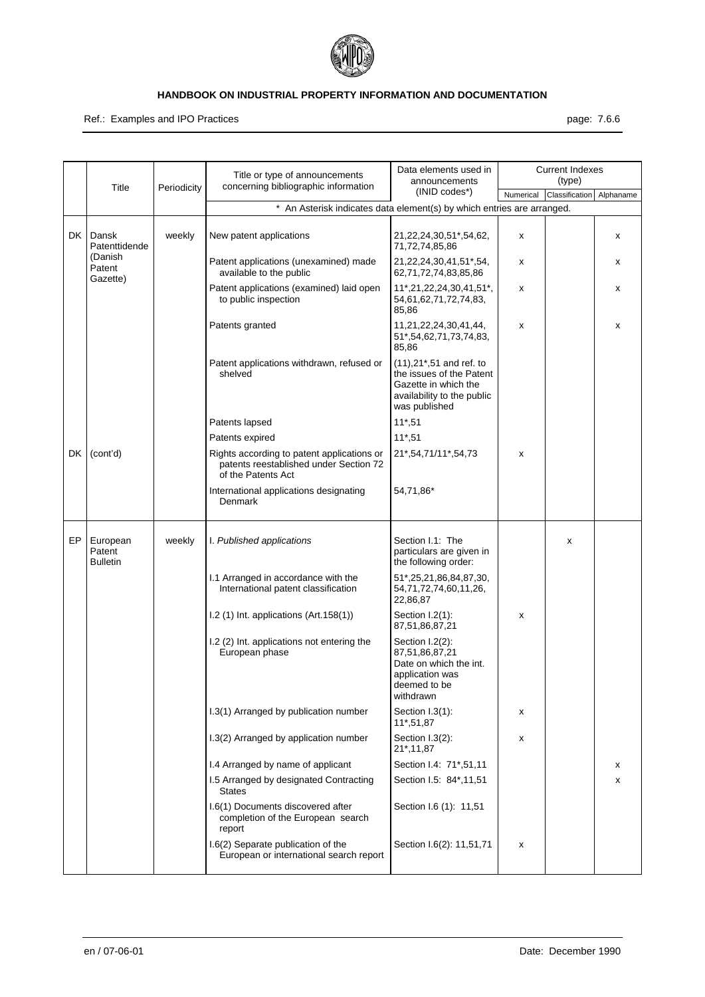

#### Ref.: Examples and IPO Practices **page: 7.6.6** page: 7.6.6

|     |                                       |             | Title or type of announcements                                                                             | Data elements used in<br>announcements                                                                                       |           | <b>Current Indexes</b><br>(type) |           |
|-----|---------------------------------------|-------------|------------------------------------------------------------------------------------------------------------|------------------------------------------------------------------------------------------------------------------------------|-----------|----------------------------------|-----------|
|     | Title                                 | Periodicity | concerning bibliographic information                                                                       | (INID codes*)                                                                                                                | Numerical | Classification                   | Alphaname |
|     |                                       |             | * An Asterisk indicates data element(s) by which entries are arranged.                                     |                                                                                                                              |           |                                  |           |
| DK  | Dansk<br>Patenttidende                | weekly      | New patent applications                                                                                    | 21, 22, 24, 30, 51*, 54, 62,<br>71,72,74,85,86                                                                               | x         |                                  | х         |
|     | (Danish<br>Patent<br>Gazette)         |             | Patent applications (unexamined) made<br>available to the public                                           | 21, 22, 24, 30, 41, 51*, 54,<br>62,71,72,74,83,85,86                                                                         | x         |                                  | х         |
|     |                                       |             | Patent applications (examined) laid open<br>to public inspection                                           | 11*,21,22,24,30,41,51*,<br>54,61,62,71,72,74,83,<br>85,86                                                                    | x         |                                  | х         |
|     |                                       |             | Patents granted                                                                                            | 11,21,22,24,30,41,44,<br>51*,54,62,71,73,74,83,<br>85,86                                                                     | x         |                                  | х         |
|     |                                       |             | Patent applications withdrawn, refused or<br>shelved                                                       | (11), 21*, 51 and ref. to<br>the issues of the Patent<br>Gazette in which the<br>availability to the public<br>was published |           |                                  |           |
|     |                                       |             | Patents lapsed                                                                                             | $11*,51$                                                                                                                     |           |                                  |           |
|     |                                       |             | Patents expired                                                                                            | $11*,51$                                                                                                                     |           |                                  |           |
| DK  | (cont'd)                              |             | Rights according to patent applications or<br>patents reestablished under Section 72<br>of the Patents Act | 21*,54,71/11*,54,73                                                                                                          | x         |                                  |           |
|     |                                       |             | International applications designating<br>Denmark                                                          | 54,71,86*                                                                                                                    |           |                                  |           |
| EP. | European<br>Patent<br><b>Bulletin</b> | weekly      | I. Published applications                                                                                  | Section I.1: The<br>particulars are given in<br>the following order:                                                         |           | X                                |           |
|     |                                       |             | I.1 Arranged in accordance with the<br>International patent classification                                 | 51*,25,21,86,84,87,30,<br>54,71,72,74,60,11,26,<br>22,86,87                                                                  |           |                                  |           |
|     |                                       |             | $1.2$ (1) Int. applications (Art. 158(1))                                                                  | Section I.2(1):<br>87,51,86,87,21                                                                                            | x         |                                  |           |
|     |                                       |             | I.2 (2) Int. applications not entering the<br>European phase                                               | Section I.2(2):<br>87,51,86,87,21<br>Date on which the int.<br>application was<br>deemed to be<br>withdrawn                  |           |                                  |           |
|     |                                       |             | I.3(1) Arranged by publication number                                                                      | Section I.3(1):<br>11*,51,87                                                                                                 | x         |                                  |           |
|     |                                       |             | I.3(2) Arranged by application number                                                                      | Section I.3(2):<br>21*,11,87                                                                                                 | x         |                                  |           |
|     |                                       |             | I.4 Arranged by name of applicant                                                                          | Section I.4: 71*,51,11                                                                                                       |           |                                  | x         |
|     |                                       |             | I.5 Arranged by designated Contracting<br><b>States</b>                                                    | Section I.5: 84*,11,51                                                                                                       |           |                                  | х         |
|     |                                       |             | I.6(1) Documents discovered after<br>completion of the European search<br>report                           | Section I.6 (1): 11,51                                                                                                       |           |                                  |           |
|     |                                       |             | I.6(2) Separate publication of the<br>European or international search report                              | Section I.6(2): 11,51,71                                                                                                     | x         |                                  |           |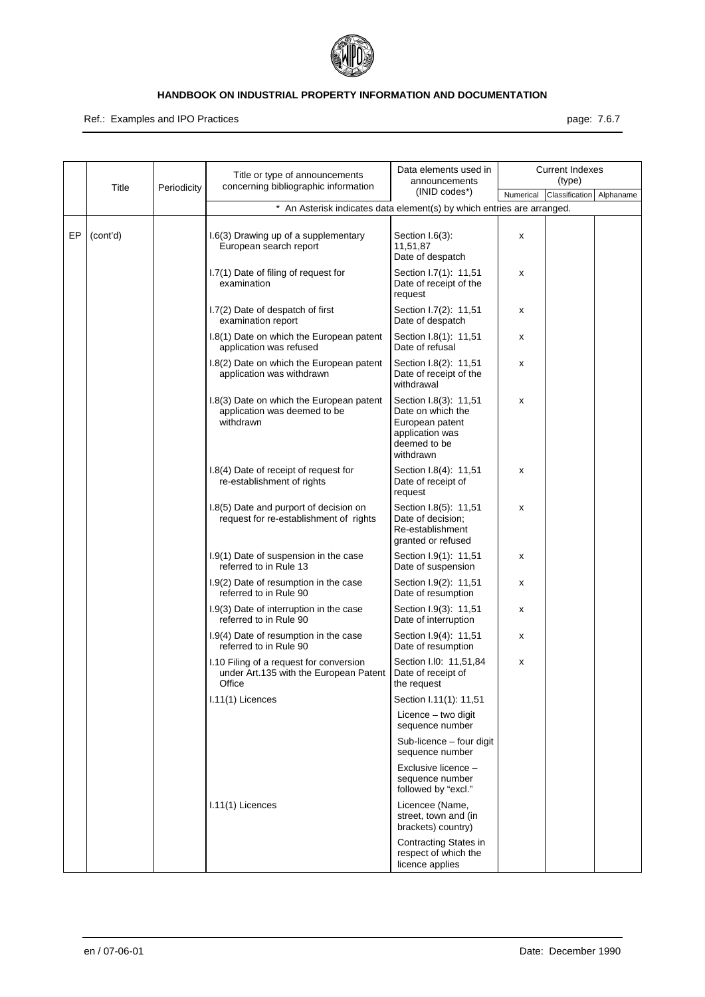

Ref.: Examples and IPO Practices **page: 7.6.7** page: 7.6.7

|    |          |             | Title or type of announcements<br>concerning bibliographic information                      | Data elements used in<br>announcements                                                                        |           | <b>Current Indexes</b><br>(type) |           |
|----|----------|-------------|---------------------------------------------------------------------------------------------|---------------------------------------------------------------------------------------------------------------|-----------|----------------------------------|-----------|
|    | Title    | Periodicity |                                                                                             | (INID codes*)                                                                                                 | Numerical | Classification                   | Alphaname |
|    |          |             | * An Asterisk indicates data element(s) by which entries are arranged.                      |                                                                                                               |           |                                  |           |
| EP | (cont'd) |             | 1.6(3) Drawing up of a supplementary<br>European search report                              | Section I.6(3):<br>11,51,87<br>Date of despatch                                                               | x         |                                  |           |
|    |          |             | I.7(1) Date of filing of request for<br>examination                                         | Section I.7(1): 11,51<br>Date of receipt of the<br>request                                                    | х         |                                  |           |
|    |          |             | 1.7(2) Date of despatch of first<br>examination report                                      | Section I.7(2): 11,51<br>Date of despatch                                                                     | х         |                                  |           |
|    |          |             | 1.8(1) Date on which the European patent<br>application was refused                         | Section I.8(1): 11,51<br>Date of refusal                                                                      | х         |                                  |           |
|    |          |             | 1.8(2) Date on which the European patent<br>application was withdrawn                       | Section I.8(2): 11,51<br>Date of receipt of the<br>withdrawal                                                 | х         |                                  |           |
|    |          |             | 1.8(3) Date on which the European patent<br>application was deemed to be<br>withdrawn       | Section I.8(3): 11,51<br>Date on which the<br>European patent<br>application was<br>deemed to be<br>withdrawn | х         |                                  |           |
|    |          |             | I.8(4) Date of receipt of request for<br>re-establishment of rights                         | Section I.8(4): 11,51<br>Date of receipt of<br>request                                                        | х         |                                  |           |
|    |          |             | 1.8(5) Date and purport of decision on<br>request for re-establishment of rights            | Section I.8(5): 11,51<br>Date of decision;<br>Re-establishment<br>granted or refused                          | х         |                                  |           |
|    |          |             | 1.9(1) Date of suspension in the case<br>referred to in Rule 13                             | Section I.9(1): 11,51<br>Date of suspension                                                                   | х         |                                  |           |
|    |          |             | 1.9(2) Date of resumption in the case<br>referred to in Rule 90                             | Section I.9(2): 11,51<br>Date of resumption                                                                   | х         |                                  |           |
|    |          |             | 1.9(3) Date of interruption in the case<br>referred to in Rule 90                           | Section I.9(3): 11,51<br>Date of interruption                                                                 | х         |                                  |           |
|    |          |             | I.9(4) Date of resumption in the case<br>referred to in Rule 90                             | Section I.9(4): 11,51<br>Date of resumption                                                                   | х         |                                  |           |
|    |          |             | 1.10 Filing of a request for conversion<br>under Art.135 with the European Patent<br>Office | Section I.I0: 11,51,84<br>Date of receipt of<br>the request                                                   | х         |                                  |           |
|    |          |             | I.11(1) Licences                                                                            | Section I.11(1): 11,51                                                                                        |           |                                  |           |
|    |          |             |                                                                                             | Licence - two digit<br>sequence number                                                                        |           |                                  |           |
|    |          |             |                                                                                             | Sub-licence - four digit<br>sequence number                                                                   |           |                                  |           |
|    |          |             |                                                                                             | Exclusive licence -<br>sequence number<br>followed by "excl."                                                 |           |                                  |           |
|    |          |             | I.11(1) Licences                                                                            | Licencee (Name,<br>street, town and (in<br>brackets) country)                                                 |           |                                  |           |
|    |          |             |                                                                                             | Contracting States in<br>respect of which the<br>licence applies                                              |           |                                  |           |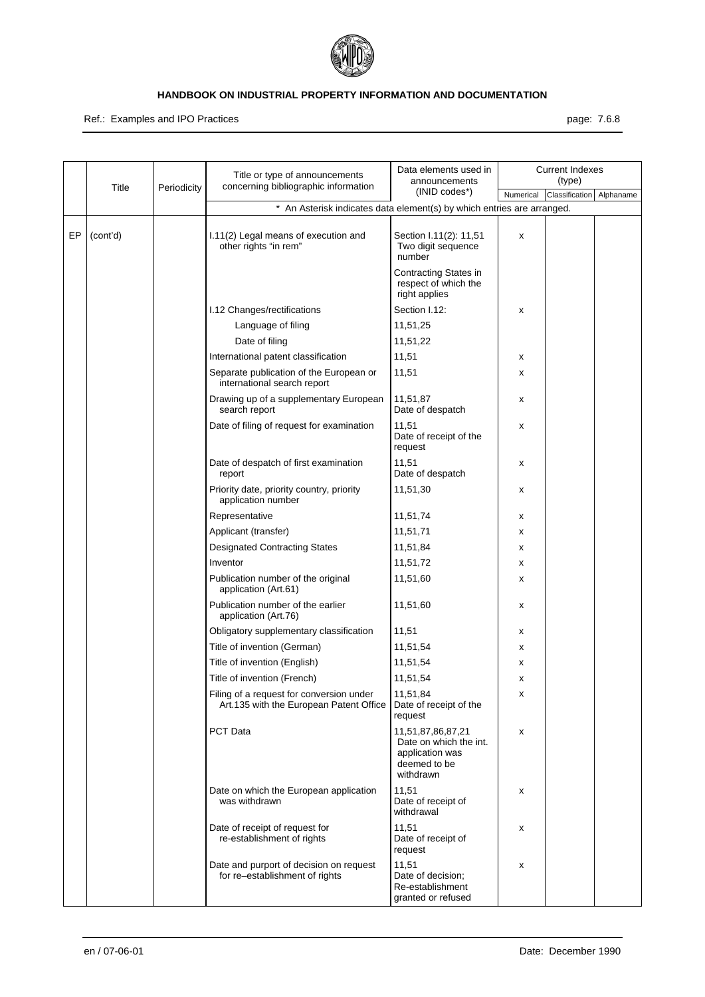

Ref.: Examples and IPO Practices **page: 7.6.8** page: 7.6.8

|    | Title    | Periodicity | Title or type of announcements<br>concerning bibliographic information              | Data elements used in<br>announcements                                                      |           | <b>Current Indexes</b><br>(type) |           |
|----|----------|-------------|-------------------------------------------------------------------------------------|---------------------------------------------------------------------------------------------|-----------|----------------------------------|-----------|
|    |          |             |                                                                                     | $(INID codes*)$                                                                             | Numerical | Classification                   | Alphaname |
|    |          |             | * An Asterisk indicates data element(s) by which entries are arranged.              |                                                                                             |           |                                  |           |
| EP | (cont'd) |             | I.11(2) Legal means of execution and<br>other rights "in rem"                       | Section I.11(2): 11,51<br>Two digit sequence<br>number                                      | x         |                                  |           |
|    |          |             |                                                                                     | Contracting States in<br>respect of which the<br>right applies                              |           |                                  |           |
|    |          |             | I.12 Changes/rectifications                                                         | Section I.12:                                                                               | х         |                                  |           |
|    |          |             | Language of filing                                                                  | 11,51,25                                                                                    |           |                                  |           |
|    |          |             | Date of filing                                                                      | 11,51,22                                                                                    |           |                                  |           |
|    |          |             | International patent classification                                                 | 11,51                                                                                       | х         |                                  |           |
|    |          |             | Separate publication of the European or<br>international search report              | 11,51                                                                                       | х         |                                  |           |
|    |          |             | Drawing up of a supplementary European<br>search report                             | 11,51,87<br>Date of despatch                                                                | х         |                                  |           |
|    |          |             | Date of filing of request for examination                                           | 11,51<br>Date of receipt of the<br>request                                                  | х         |                                  |           |
|    |          |             | Date of despatch of first examination<br>report                                     | 11,51<br>Date of despatch                                                                   | х         |                                  |           |
|    |          |             | Priority date, priority country, priority<br>application number                     | 11,51,30                                                                                    | х         |                                  |           |
|    |          |             | Representative                                                                      | 11,51,74                                                                                    | х         |                                  |           |
|    |          |             | Applicant (transfer)                                                                | 11,51,71                                                                                    | х         |                                  |           |
|    |          |             | <b>Designated Contracting States</b>                                                | 11,51,84                                                                                    | x         |                                  |           |
|    |          |             | Inventor                                                                            | 11,51,72                                                                                    | х         |                                  |           |
|    |          |             | Publication number of the original<br>application (Art.61)                          | 11,51,60                                                                                    | х         |                                  |           |
|    |          |             | Publication number of the earlier<br>application (Art.76)                           | 11,51,60                                                                                    | х         |                                  |           |
|    |          |             | Obligatory supplementary classification                                             | 11,51                                                                                       | х         |                                  |           |
|    |          |             | Title of invention (German)                                                         | 11,51,54                                                                                    | х         |                                  |           |
|    |          |             | Title of invention (English)                                                        | 11,51,54                                                                                    | х         |                                  |           |
|    |          |             | Title of invention (French)                                                         | 11,51,54                                                                                    | х         |                                  |           |
|    |          |             | Filing of a request for conversion under<br>Art.135 with the European Patent Office | 11,51,84<br>Date of receipt of the<br>request                                               | х         |                                  |           |
|    |          |             | PCT Data                                                                            | 11,51,87,86,87,21<br>Date on which the int.<br>application was<br>deemed to be<br>withdrawn | х         |                                  |           |
|    |          |             | Date on which the European application<br>was withdrawn                             | 11,51<br>Date of receipt of<br>withdrawal                                                   | x         |                                  |           |
|    |          |             | Date of receipt of request for<br>re-establishment of rights                        | 11,51<br>Date of receipt of<br>request                                                      | x         |                                  |           |
|    |          |             | Date and purport of decision on request<br>for re-establishment of rights           | 11,51<br>Date of decision;<br>Re-establishment<br>granted or refused                        | х         |                                  |           |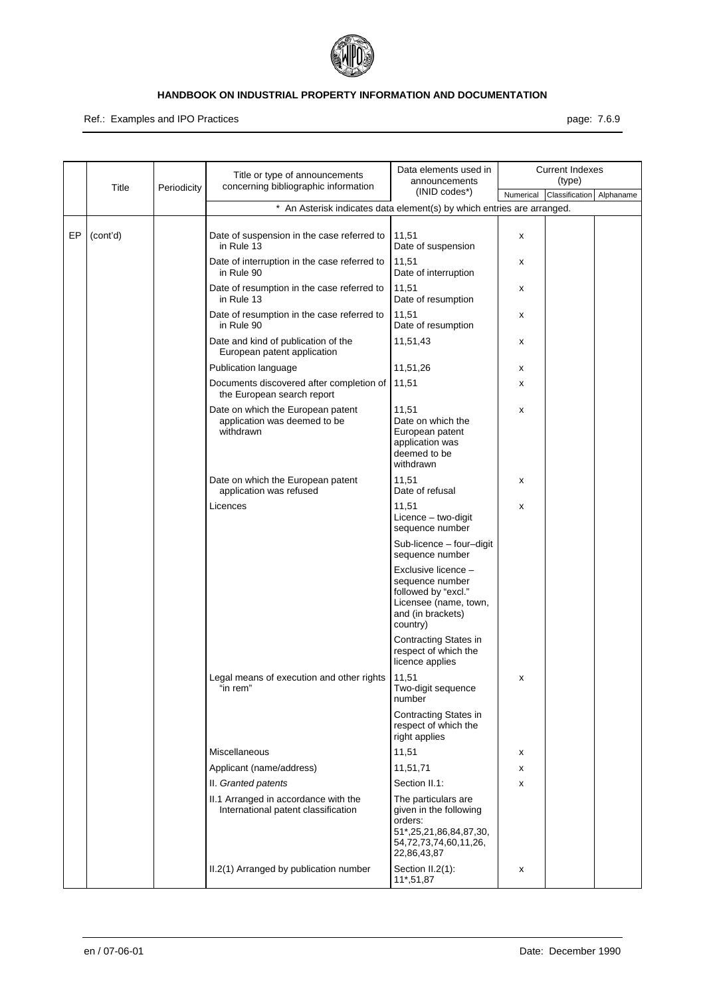

Ref.: Examples and IPO Practices **page: 7.6.9** page: 7.6.9

|    | Title    | Periodicity | Title or type of announcements<br>concerning bibliographic information         | Data elements used in<br>announcements                                                                                     |           | <b>Current Indexes</b><br>(type) |           |
|----|----------|-------------|--------------------------------------------------------------------------------|----------------------------------------------------------------------------------------------------------------------------|-----------|----------------------------------|-----------|
|    |          |             |                                                                                | (INID codes*)                                                                                                              | Numerical | Classification                   | Alphaname |
|    |          |             | * An Asterisk indicates data element(s) by which entries are arranged.         |                                                                                                                            |           |                                  |           |
| EP | (cont'd) |             | Date of suspension in the case referred to<br>in Rule 13                       | 11,51<br>Date of suspension                                                                                                | x         |                                  |           |
|    |          |             | Date of interruption in the case referred to<br>in Rule 90                     | 11,51<br>Date of interruption                                                                                              | x         |                                  |           |
|    |          |             | Date of resumption in the case referred to<br>in Rule 13                       | 11,51<br>Date of resumption                                                                                                | х         |                                  |           |
|    |          |             | Date of resumption in the case referred to<br>in Rule 90                       | 11,51<br>Date of resumption                                                                                                | х         |                                  |           |
|    |          |             | Date and kind of publication of the<br>European patent application             | 11,51,43                                                                                                                   | х         |                                  |           |
|    |          |             | Publication language                                                           | 11,51,26                                                                                                                   | х         |                                  |           |
|    |          |             | Documents discovered after completion of<br>the European search report         | 11,51                                                                                                                      | х         |                                  |           |
|    |          |             | Date on which the European patent<br>application was deemed to be<br>withdrawn | 11,51<br>Date on which the<br>European patent<br>application was<br>deemed to be<br>withdrawn                              | х         |                                  |           |
|    |          |             | Date on which the European patent<br>application was refused                   | 11,51<br>Date of refusal                                                                                                   | х         |                                  |           |
|    |          |             | Licences                                                                       | 11,51<br>Licence - two-digit<br>sequence number                                                                            | х         |                                  |           |
|    |          |             |                                                                                | Sub-licence - four-digit<br>sequence number                                                                                |           |                                  |           |
|    |          |             |                                                                                | Exclusive licence -<br>sequence number<br>followed by "excl."<br>Licensee (name, town,<br>and (in brackets)<br>country)    |           |                                  |           |
|    |          |             |                                                                                | <b>Contracting States in</b><br>respect of which the<br>licence applies                                                    |           |                                  |           |
|    |          |             | Legal means of execution and other rights<br>'in rem"                          | 11,51<br>Two-digit sequence<br>number                                                                                      | х         |                                  |           |
|    |          |             |                                                                                | Contracting States in<br>respect of which the<br>right applies                                                             |           |                                  |           |
|    |          |             | Miscellaneous                                                                  | 11,51                                                                                                                      | х         |                                  |           |
|    |          |             | Applicant (name/address)                                                       | 11,51,71                                                                                                                   | х         |                                  |           |
|    |          |             | II. Granted patents                                                            | Section II.1:                                                                                                              | X         |                                  |           |
|    |          |             | II.1 Arranged in accordance with the<br>International patent classification    | The particulars are<br>given in the following<br>orders:<br>51*,25,21,86,84,87,30,<br>54,72,73,74,60,11,26,<br>22,86,43,87 |           |                                  |           |
|    |          |             | II.2(1) Arranged by publication number                                         | Section II.2(1):<br>11*,51,87                                                                                              | х         |                                  |           |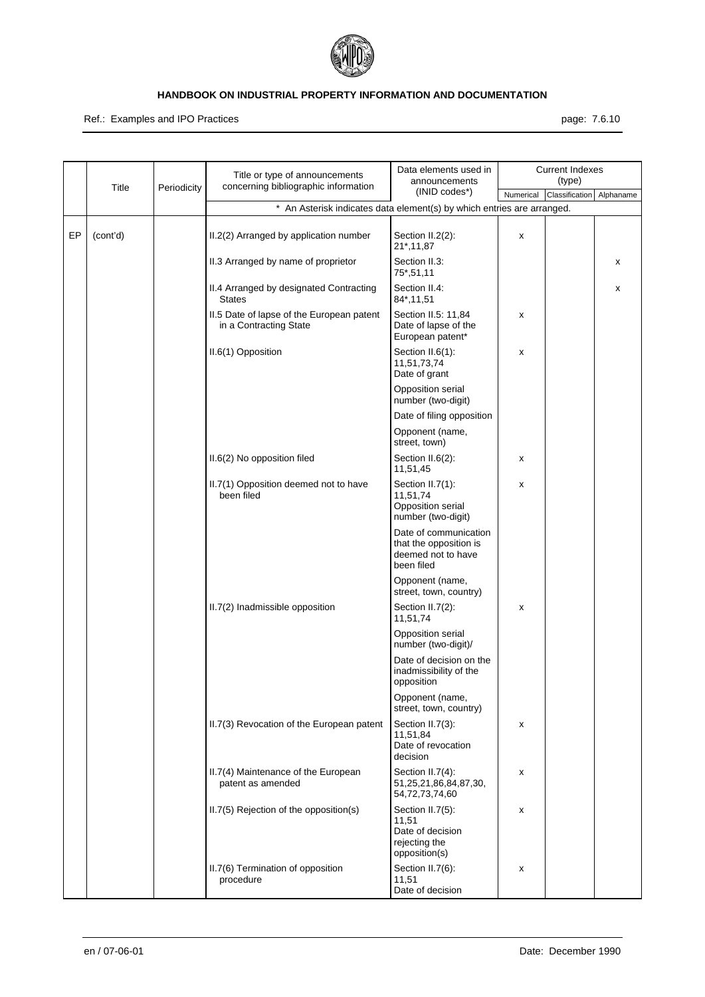

#### Ref.: Examples and IPO Practices **page: 7.6.10** page: 7.6.10

|    | Title    | Periodicity | Title or type of announcements<br>concerning bibliographic information | Data elements used in<br>announcements                                              |           | <b>Current Indexes</b><br>(type) |           |
|----|----------|-------------|------------------------------------------------------------------------|-------------------------------------------------------------------------------------|-----------|----------------------------------|-----------|
|    |          |             |                                                                        | (INID codes*)                                                                       | Numerical | Classification                   | Alphaname |
|    |          |             | * An Asterisk indicates data element(s) by which entries are arranged. |                                                                                     |           |                                  |           |
| EP | (cont'd) |             | II.2(2) Arranged by application number                                 | Section II.2(2):<br>21*, 11, 87                                                     | X         |                                  |           |
|    |          |             | II.3 Arranged by name of proprietor                                    | Section II.3:<br>75*,51,11                                                          |           |                                  | x         |
|    |          |             | II.4 Arranged by designated Contracting<br><b>States</b>               | Section II.4:<br>84*,11,51                                                          |           |                                  | x         |
|    |          |             | II.5 Date of lapse of the European patent<br>in a Contracting State    | Section II.5: 11,84<br>Date of lapse of the<br>European patent*                     | X         |                                  |           |
|    |          |             | II.6(1) Opposition                                                     | Section II.6(1):<br>11,51,73,74<br>Date of grant                                    | X         |                                  |           |
|    |          |             |                                                                        | Opposition serial<br>number (two-digit)                                             |           |                                  |           |
|    |          |             |                                                                        | Date of filing opposition                                                           |           |                                  |           |
|    |          |             |                                                                        | Opponent (name,<br>street, town)                                                    |           |                                  |           |
|    |          |             | II.6(2) No opposition filed                                            | Section II.6(2):<br>11,51,45                                                        | х         |                                  |           |
|    |          |             | II.7(1) Opposition deemed not to have<br>been filed                    | Section II.7(1):<br>11,51,74<br>Opposition serial<br>number (two-digit)             | х         |                                  |           |
|    |          |             |                                                                        | Date of communication<br>that the opposition is<br>deemed not to have<br>been filed |           |                                  |           |
|    |          |             |                                                                        | Opponent (name,<br>street, town, country)                                           |           |                                  |           |
|    |          |             | II.7(2) Inadmissible opposition                                        | Section II.7(2):<br>11,51,74                                                        | X         |                                  |           |
|    |          |             |                                                                        | Opposition serial<br>number (two-digit)/                                            |           |                                  |           |
|    |          |             |                                                                        | Date of decision on the<br>inadmissibility of the<br>opposition                     |           |                                  |           |
|    |          |             |                                                                        | Opponent (name,<br>street, town, country)                                           |           |                                  |           |
|    |          |             | II.7(3) Revocation of the European patent                              | Section II.7(3):<br>11,51,84<br>Date of revocation<br>decision                      | х         |                                  |           |
|    |          |             | II.7(4) Maintenance of the European<br>patent as amended               | Section II.7(4):<br>51,25,21,86,84,87,30,<br>54,72,73,74,60                         | х         |                                  |           |
|    |          |             | II.7(5) Rejection of the opposition(s)                                 | Section II.7(5):<br>11,51<br>Date of decision<br>rejecting the<br>opposition(s)     | х         |                                  |           |
|    |          |             | II.7(6) Termination of opposition<br>procedure                         | Section II.7(6):<br>11,51<br>Date of decision                                       | х         |                                  |           |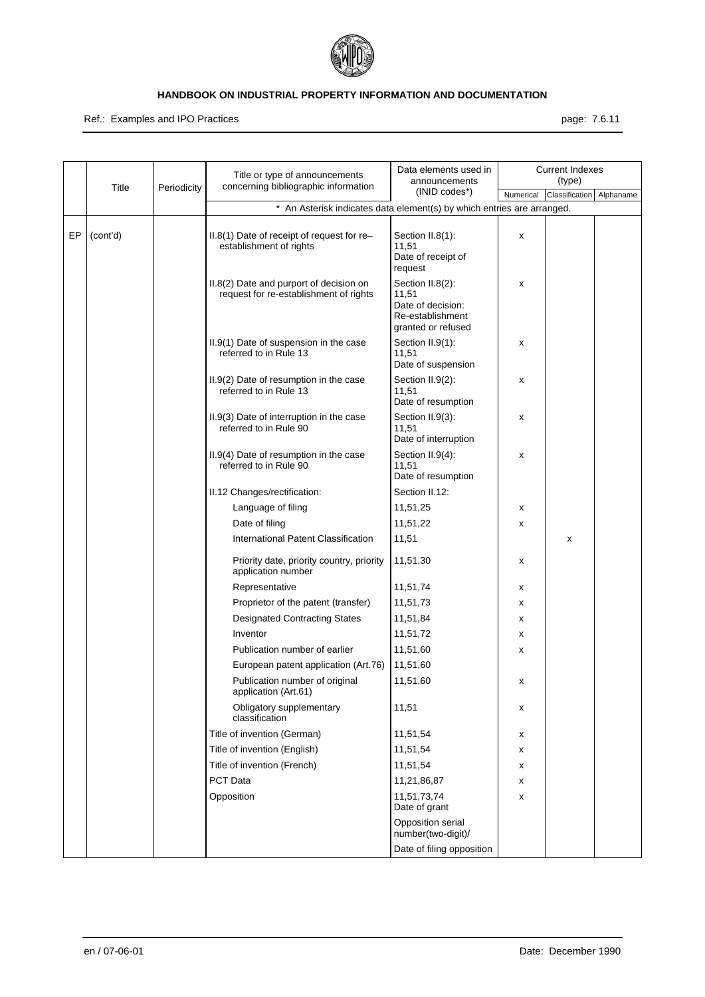

Ref.: Examples and IPO Practices **page: 7.6.11** and a set of the set of the set of the set of the set of the set of the set of the set of the set of the set of the set of the set of the set of the set of the set of the set

|    | Title    | Periodicity | Title or type of announcements<br>concerning bibliographic information            | Data elements used in<br>announcements                                                   |           | <b>Current Indexes</b><br>(type) |           |
|----|----------|-------------|-----------------------------------------------------------------------------------|------------------------------------------------------------------------------------------|-----------|----------------------------------|-----------|
|    |          |             |                                                                                   | $(INID codes*)$                                                                          | Numerical | Classification                   | Alphaname |
|    |          |             | * An Asterisk indicates data element(s) by which entries are arranged.            |                                                                                          |           |                                  |           |
| EP | (cont'd) |             | II.8(1) Date of receipt of request for re-<br>establishment of rights             | Section II.8(1):<br>11,51<br>Date of receipt of<br>request                               | X         |                                  |           |
|    |          |             | II.8(2) Date and purport of decision on<br>request for re-establishment of rights | Section II.8(2):<br>11,51<br>Date of decision:<br>Re-establishment<br>granted or refused | х         |                                  |           |
|    |          |             | II.9(1) Date of suspension in the case<br>referred to in Rule 13                  | Section II.9(1):<br>11,51<br>Date of suspension                                          | х         |                                  |           |
|    |          |             | II.9(2) Date of resumption in the case<br>referred to in Rule 13                  | Section II.9(2):<br>11,51<br>Date of resumption                                          | х         |                                  |           |
|    |          |             | II.9(3) Date of interruption in the case<br>referred to in Rule 90                | Section II.9(3):<br>11,51<br>Date of interruption                                        | х         |                                  |           |
|    |          |             | II.9(4) Date of resumption in the case<br>referred to in Rule 90                  | Section II.9(4):<br>11,51<br>Date of resumption                                          | х         |                                  |           |
|    |          |             | II.12 Changes/rectification:                                                      | Section II.12:                                                                           |           |                                  |           |
|    |          |             | Language of filing                                                                | 11,51,25                                                                                 | х         |                                  |           |
|    |          |             | Date of filing                                                                    | 11,51,22                                                                                 | x         |                                  |           |
|    |          |             | International Patent Classification                                               | 11,51                                                                                    |           | x                                |           |
|    |          |             | Priority date, priority country, priority<br>application number                   | 11,51,30                                                                                 | х         |                                  |           |
|    |          |             | Representative                                                                    | 11,51,74                                                                                 | х         |                                  |           |
|    |          |             | Proprietor of the patent (transfer)                                               | 11,51,73                                                                                 | х         |                                  |           |
|    |          |             | <b>Designated Contracting States</b>                                              | 11,51,84                                                                                 | х         |                                  |           |
|    |          |             | Inventor                                                                          | 11,51,72                                                                                 | х         |                                  |           |
|    |          |             | Publication number of earlier                                                     | 11,51,60                                                                                 | х         |                                  |           |
|    |          |             | European patent application (Art.76)                                              | 11,51,60                                                                                 |           |                                  |           |
|    |          |             | Publication number of original<br>application (Art.61)                            | 11,51,60                                                                                 | х         |                                  |           |
|    |          |             | Obligatory supplementary<br>classification                                        | 11,51                                                                                    | х         |                                  |           |
|    |          |             | Title of invention (German)                                                       | 11,51,54                                                                                 | x         |                                  |           |
|    |          |             | Title of invention (English)                                                      | 11,51,54                                                                                 | х         |                                  |           |
|    |          |             | Title of invention (French)                                                       | 11,51,54                                                                                 | x         |                                  |           |
|    |          |             | PCT Data                                                                          | 11,21,86,87                                                                              | х         |                                  |           |
|    |          |             | Opposition                                                                        | 11,51,73,74<br>Date of grant                                                             | х         |                                  |           |
|    |          |             |                                                                                   | Opposition serial<br>number(two-digit)/                                                  |           |                                  |           |
|    |          |             |                                                                                   | Date of filing opposition                                                                |           |                                  |           |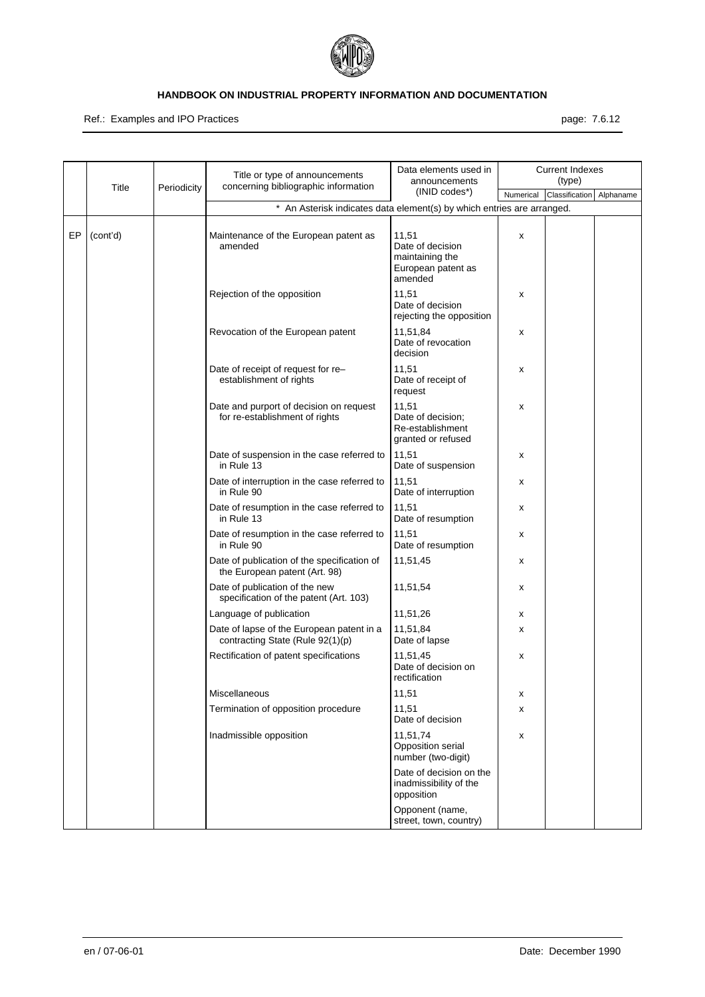

Ref.: Examples and IPO Practices **page: 7.6.12** page: 7.6.12

|    | Title    | Periodicity | Title or type of announcements<br>concerning bibliographic information        | Data elements used in<br>announcements                                        |           | <b>Current Indexes</b><br>(type) |           |
|----|----------|-------------|-------------------------------------------------------------------------------|-------------------------------------------------------------------------------|-----------|----------------------------------|-----------|
|    |          |             |                                                                               | $(INID codes*)$                                                               | Numerical | Classification                   | Alphaname |
|    |          |             | * An Asterisk indicates data element(s) by which entries are arranged.        |                                                                               |           |                                  |           |
| EP | (cont'd) |             | Maintenance of the European patent as<br>amended                              | 11,51<br>Date of decision<br>maintaining the<br>European patent as<br>amended | X         |                                  |           |
|    |          |             | Rejection of the opposition                                                   | 11,51<br>Date of decision<br>rejecting the opposition                         | х         |                                  |           |
|    |          |             | Revocation of the European patent                                             | 11,51,84<br>Date of revocation<br>decision                                    | х         |                                  |           |
|    |          |             | Date of receipt of request for re-<br>establishment of rights                 | 11,51<br>Date of receipt of<br>request                                        | х         |                                  |           |
|    |          |             | Date and purport of decision on request<br>for re-establishment of rights     | 11,51<br>Date of decision:<br>Re-establishment<br>granted or refused          | х         |                                  |           |
|    |          |             | Date of suspension in the case referred to<br>in Rule 13                      | 11,51<br>Date of suspension                                                   | х         |                                  |           |
|    |          |             | Date of interruption in the case referred to<br>in Rule 90                    | 11,51<br>Date of interruption                                                 | х         |                                  |           |
|    |          |             | Date of resumption in the case referred to<br>in Rule 13                      | 11,51<br>Date of resumption                                                   | х         |                                  |           |
|    |          |             | Date of resumption in the case referred to<br>in Rule 90                      | 11,51<br>Date of resumption                                                   | х         |                                  |           |
|    |          |             | Date of publication of the specification of<br>the European patent (Art. 98)  | 11,51,45                                                                      | х         |                                  |           |
|    |          |             | Date of publication of the new<br>specification of the patent (Art. 103)      | 11,51,54                                                                      | х         |                                  |           |
|    |          |             | Language of publication                                                       | 11,51,26                                                                      | х         |                                  |           |
|    |          |             | Date of lapse of the European patent in a<br>contracting State (Rule 92(1)(p) | 11,51,84<br>Date of lapse                                                     | x         |                                  |           |
|    |          |             | Rectification of patent specifications                                        | 11,51,45<br>Date of decision on<br>rectification                              | х         |                                  |           |
|    |          |             | Miscellaneous                                                                 | 11,51                                                                         | х         |                                  |           |
|    |          |             | Termination of opposition procedure                                           | 11,51<br>Date of decision                                                     | х         |                                  |           |
|    |          |             | Inadmissible opposition                                                       | 11,51,74<br>Opposition serial<br>number (two-digit)                           | х         |                                  |           |
|    |          |             |                                                                               | Date of decision on the<br>inadmissibility of the<br>opposition               |           |                                  |           |
|    |          |             |                                                                               | Opponent (name,<br>street, town, country)                                     |           |                                  |           |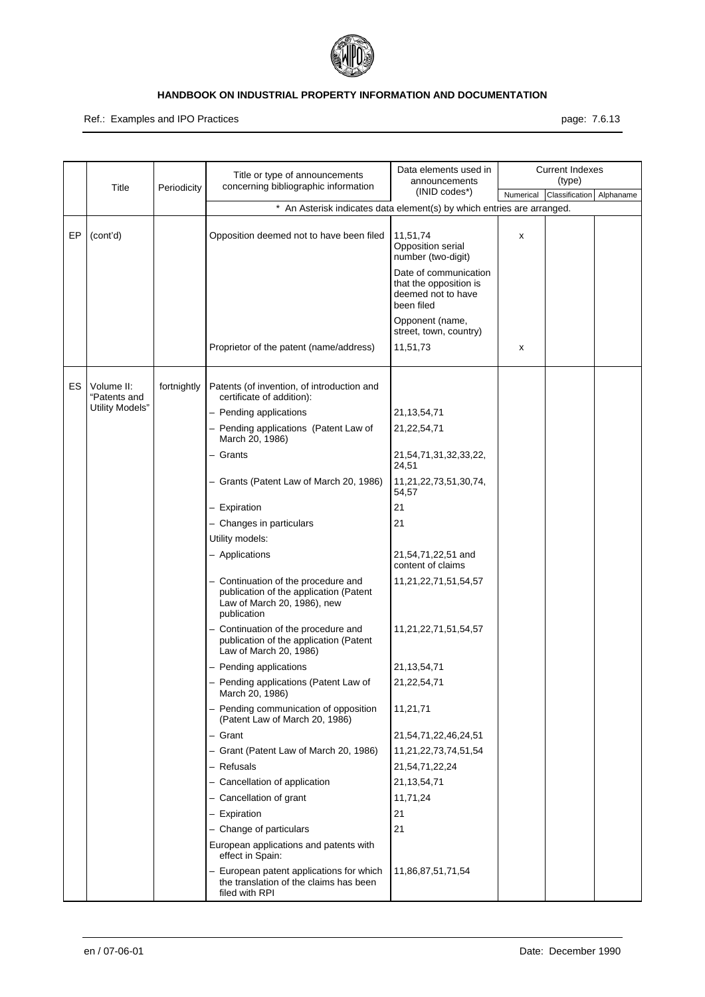

#### Ref.: Examples and IPO Practices **page: 7.6.13** page: 7.6.13

|    | Title                                         | Periodicity | Title or type of announcements<br>concerning bibliographic information                                                      | Data elements used in<br>announcements<br>(INID codes*)                             |           | <b>Current Indexes</b><br>(type) |           |
|----|-----------------------------------------------|-------------|-----------------------------------------------------------------------------------------------------------------------------|-------------------------------------------------------------------------------------|-----------|----------------------------------|-----------|
|    |                                               |             |                                                                                                                             |                                                                                     | Numerical | Classification                   | Alphaname |
|    |                                               |             | * An Asterisk indicates data element(s) by which entries are arranged.                                                      |                                                                                     |           |                                  |           |
| EP | (cont'd)                                      |             | Opposition deemed not to have been filed                                                                                    | 11,51,74<br>Opposition serial<br>number (two-digit)                                 | х         |                                  |           |
|    |                                               |             |                                                                                                                             | Date of communication<br>that the opposition is<br>deemed not to have<br>been filed |           |                                  |           |
|    |                                               |             |                                                                                                                             | Opponent (name,<br>street, town, country)                                           |           |                                  |           |
|    |                                               |             | Proprietor of the patent (name/address)                                                                                     | 11,51,73                                                                            | х         |                                  |           |
| ES | Volume II:<br>"Patents and<br>Utility Models" | fortnightly | Patents (of invention, of introduction and<br>certificate of addition):                                                     |                                                                                     |           |                                  |           |
|    |                                               |             | - Pending applications                                                                                                      | 21, 13, 54, 71                                                                      |           |                                  |           |
|    |                                               |             | - Pending applications (Patent Law of<br>March 20, 1986)                                                                    | 21,22,54,71                                                                         |           |                                  |           |
|    |                                               |             | - Grants                                                                                                                    | 21,54,71,31,32,33,22,<br>24,51                                                      |           |                                  |           |
|    |                                               |             | - Grants (Patent Law of March 20, 1986)                                                                                     | 11,21,22,73,51,30,74,<br>54,57                                                      |           |                                  |           |
|    |                                               |             | - Expiration                                                                                                                | 21                                                                                  |           |                                  |           |
|    |                                               |             | - Changes in particulars                                                                                                    | 21                                                                                  |           |                                  |           |
|    |                                               |             | Utility models:                                                                                                             |                                                                                     |           |                                  |           |
|    |                                               |             | - Applications                                                                                                              | 21,54,71,22,51 and<br>content of claims                                             |           |                                  |           |
|    |                                               |             | - Continuation of the procedure and<br>publication of the application (Patent<br>Law of March 20, 1986), new<br>publication | 11,21,22,71,51,54,57                                                                |           |                                  |           |
|    |                                               |             | - Continuation of the procedure and<br>publication of the application (Patent<br>Law of March 20, 1986)                     | 11,21,22,71,51,54,57                                                                |           |                                  |           |
|    |                                               |             | - Pending applications                                                                                                      | 21, 13, 54, 71                                                                      |           |                                  |           |
|    |                                               |             | - Pending applications (Patent Law of<br>March 20, 1986)                                                                    | 21,22,54,71                                                                         |           |                                  |           |
|    |                                               |             | - Pending communication of opposition<br>(Patent Law of March 20, 1986)                                                     | 11,21,71                                                                            |           |                                  |           |
|    |                                               |             | - Grant                                                                                                                     | 21,54,71,22,46,24,51                                                                |           |                                  |           |
|    |                                               |             | - Grant (Patent Law of March 20, 1986)                                                                                      | 11,21,22,73,74,51,54                                                                |           |                                  |           |
|    |                                               |             | - Refusals                                                                                                                  | 21,54,71,22,24                                                                      |           |                                  |           |
|    |                                               |             | - Cancellation of application                                                                                               | 21, 13, 54, 71                                                                      |           |                                  |           |
|    |                                               |             | - Cancellation of grant                                                                                                     | 11,71,24                                                                            |           |                                  |           |
|    |                                               |             | - Expiration                                                                                                                | 21                                                                                  |           |                                  |           |
|    |                                               |             | - Change of particulars                                                                                                     | 21                                                                                  |           |                                  |           |
|    |                                               |             | European applications and patents with<br>effect in Spain:                                                                  |                                                                                     |           |                                  |           |
|    |                                               |             | - European patent applications for which<br>the translation of the claims has been<br>filed with RPI                        | 11,86,87,51,71,54                                                                   |           |                                  |           |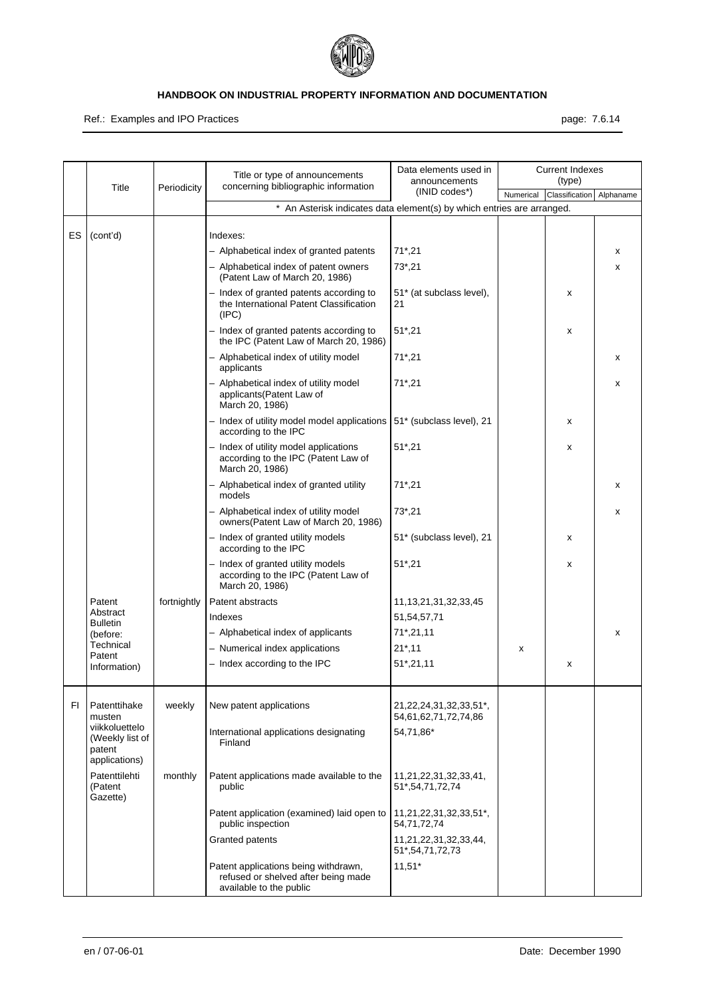

Ref.: Examples and IPO Practices **page: 7.6.14** page: 7.6.14

|     |                                                              | Title<br>Periodicity | Title or type of announcements<br>concerning bibliographic information                                 | Data elements used in<br>announcements               |   | <b>Current Indexes</b>   |           |
|-----|--------------------------------------------------------------|----------------------|--------------------------------------------------------------------------------------------------------|------------------------------------------------------|---|--------------------------|-----------|
|     |                                                              |                      |                                                                                                        | (INID codes*)                                        |   | Numerical Classification | Alphaname |
|     |                                                              |                      | * An Asterisk indicates data element(s) by which entries are arranged.                                 |                                                      |   |                          |           |
| ES  | (cont'd)                                                     |                      | Indexes:                                                                                               |                                                      |   |                          |           |
|     |                                                              |                      | - Alphabetical index of granted patents                                                                | $71^*$ , 21                                          |   |                          | x         |
|     |                                                              |                      | - Alphabetical index of patent owners<br>(Patent Law of March 20, 1986)                                | $73^*$ , 21                                          |   |                          | x         |
|     |                                                              |                      | - Index of granted patents according to<br>the International Patent Classification<br>(IPC)            | 51* (at subclass level),<br>21                       |   | X                        |           |
|     |                                                              |                      | - Index of granted patents according to<br>the IPC (Patent Law of March 20, 1986)                      | $51^*$ , 21                                          |   | X                        |           |
|     |                                                              |                      | - Alphabetical index of utility model<br>applicants                                                    | $71^*$ , 21                                          |   |                          | x         |
|     |                                                              |                      | - Alphabetical index of utility model<br>applicants(Patent Law of<br>March 20, 1986)                   | $71^*$ , 21                                          |   |                          | x         |
|     |                                                              |                      | - Index of utility model model applications   51* (subclass level), 21<br>according to the IPC         |                                                      |   | X                        |           |
|     |                                                              |                      | - Index of utility model applications<br>according to the IPC (Patent Law of<br>March 20, 1986)        | $51^*$ , 21                                          |   | X                        |           |
|     |                                                              |                      | - Alphabetical index of granted utility<br>models                                                      | $71^*$ , 21                                          |   |                          | x         |
|     |                                                              |                      | - Alphabetical index of utility model<br>owners(Patent Law of March 20, 1986)                          | $73^*$ , 21                                          |   |                          | x         |
|     |                                                              |                      | - Index of granted utility models<br>according to the IPC                                              | 51* (subclass level), 21                             |   | X                        |           |
|     |                                                              |                      | - Index of granted utility models<br>according to the IPC (Patent Law of<br>March 20, 1986)            | $51^*$ , 21                                          |   | x                        |           |
|     | Patent                                                       | fortnightly          | Patent abstracts                                                                                       | 11, 13, 21, 31, 32, 33, 45                           |   |                          |           |
|     | Abstract<br><b>Bulletin</b>                                  |                      | Indexes                                                                                                | 51,54,57,71                                          |   |                          |           |
|     | (before:                                                     |                      | - Alphabetical index of applicants                                                                     | $71^*$ , 21, 11                                      |   |                          | x         |
|     | Technical<br>Patent                                          |                      | - Numerical index applications                                                                         | $21^*$ , 11                                          | x |                          |           |
|     | Information)                                                 |                      | - Index according to the IPC                                                                           | $51^*$ , 21, 11                                      |   | x                        |           |
| FI. | Patenttihake<br>musten                                       | weekly               | New patent applications                                                                                | 21, 22, 24, 31, 32, 33, 51*,<br>54,61,62,71,72,74,86 |   |                          |           |
|     | viikkoluettelo<br>(Weekly list of<br>patent<br>applications) |                      | International applications designating<br>Finland                                                      | 54,71,86*                                            |   |                          |           |
|     | Patenttilehti<br>(Patent<br>Gazette)                         | monthly              | Patent applications made available to the<br>public                                                    | 11,21,22,31,32,33,41,<br>51*, 54, 71, 72, 74         |   |                          |           |
|     |                                                              |                      | Patent application (examined) laid open to<br>public inspection                                        | 11,21,22,31,32,33,51*,<br>54,71,72,74                |   |                          |           |
|     |                                                              |                      | Granted patents                                                                                        | 11,21,22,31,32,33,44,<br>51*, 54, 71, 72, 73         |   |                          |           |
|     |                                                              |                      | Patent applications being withdrawn,<br>refused or shelved after being made<br>available to the public | $11,51*$                                             |   |                          |           |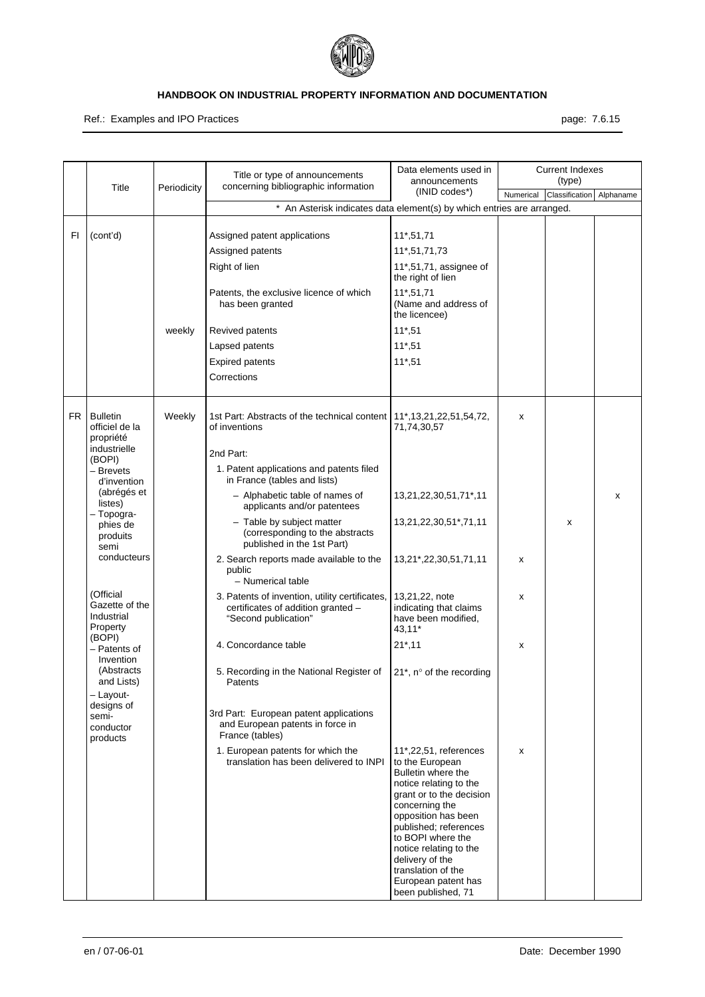

Ref.: Examples and IPO Practices **page: 7.6.15** page: 7.6.15

|     |                                                           |             | Title or type of announcements                                                                               | Data elements used in<br>announcements                                                                                                                                                                                                                                                                                      |           | <b>Current Indexes</b><br>(type) |           |
|-----|-----------------------------------------------------------|-------------|--------------------------------------------------------------------------------------------------------------|-----------------------------------------------------------------------------------------------------------------------------------------------------------------------------------------------------------------------------------------------------------------------------------------------------------------------------|-----------|----------------------------------|-----------|
|     | Title                                                     | Periodicity | concerning bibliographic information                                                                         | (INID codes*)                                                                                                                                                                                                                                                                                                               | Numerical | Classification                   | Alphaname |
|     |                                                           |             | * An Asterisk indicates data element(s) by which entries are arranged.                                       |                                                                                                                                                                                                                                                                                                                             |           |                                  |           |
| FI  | (cont'd)                                                  |             | Assigned patent applications                                                                                 | 11*,51,71                                                                                                                                                                                                                                                                                                                   |           |                                  |           |
|     |                                                           |             | Assigned patents                                                                                             | 11*,51,71,73                                                                                                                                                                                                                                                                                                                |           |                                  |           |
|     |                                                           |             | Right of lien                                                                                                | 11*,51,71, assignee of<br>the right of lien                                                                                                                                                                                                                                                                                 |           |                                  |           |
|     |                                                           |             | Patents, the exclusive licence of which<br>has been granted                                                  | $11*, 51, 71$<br>(Name and address of<br>the licencee)                                                                                                                                                                                                                                                                      |           |                                  |           |
|     |                                                           | weekly      | Revived patents                                                                                              | $11*,51$                                                                                                                                                                                                                                                                                                                    |           |                                  |           |
|     |                                                           |             | Lapsed patents                                                                                               | $11*,51$                                                                                                                                                                                                                                                                                                                    |           |                                  |           |
|     |                                                           |             | <b>Expired patents</b>                                                                                       | $11*,51$                                                                                                                                                                                                                                                                                                                    |           |                                  |           |
|     |                                                           |             | Corrections                                                                                                  |                                                                                                                                                                                                                                                                                                                             |           |                                  |           |
|     |                                                           |             |                                                                                                              |                                                                                                                                                                                                                                                                                                                             |           |                                  |           |
| FR. | <b>Bulletin</b><br>officiel de la<br>propriété            | Weekly      | 1st Part: Abstracts of the technical content   11*, 13, 21, 22, 51, 54, 72,<br>of inventions                 | 71,74,30,57                                                                                                                                                                                                                                                                                                                 | x         |                                  |           |
|     | industrielle                                              |             | 2nd Part:                                                                                                    |                                                                                                                                                                                                                                                                                                                             |           |                                  |           |
|     | (BOPI)<br>- Brevets<br>d'invention                        |             | 1. Patent applications and patents filed<br>in France (tables and lists)                                     |                                                                                                                                                                                                                                                                                                                             |           |                                  |           |
|     | (abrégés et<br>listes)                                    |             | - Alphabetic table of names of<br>applicants and/or patentees                                                | 13,21,22,30,51,71*,11                                                                                                                                                                                                                                                                                                       |           |                                  | x         |
|     | - Topogra-<br>phies de<br>produits<br>semi                |             | - Table by subject matter<br>(corresponding to the abstracts<br>published in the 1st Part)                   | 13,21,22,30,51*,71,11                                                                                                                                                                                                                                                                                                       |           | x                                |           |
|     | conducteurs                                               |             | 2. Search reports made available to the<br>public                                                            | 13,21*,22,30,51,71,11                                                                                                                                                                                                                                                                                                       | x         |                                  |           |
|     |                                                           |             | - Numerical table                                                                                            |                                                                                                                                                                                                                                                                                                                             |           |                                  |           |
|     | (Official<br>Gazette of the<br>Industrial<br>Property     |             | 3. Patents of invention, utility certificates,<br>certificates of addition granted -<br>"Second publication" | 13,21,22, note<br>indicating that claims<br>have been modified,<br>43,11*                                                                                                                                                                                                                                                   | x         |                                  |           |
|     | (BOPI)<br>- Patents of<br>Invention                       |             | 4. Concordance table                                                                                         | $21^*$ , 11                                                                                                                                                                                                                                                                                                                 | х         |                                  |           |
|     | (Abstracts<br>and Lists)                                  |             | 5. Recording in the National Register of<br>Patents                                                          | $21^*$ , n° of the recording                                                                                                                                                                                                                                                                                                |           |                                  |           |
|     | - Layout-<br>designs of<br>semi-<br>conductor<br>products |             | 3rd Part: European patent applications<br>and European patents in force in<br>France (tables)                |                                                                                                                                                                                                                                                                                                                             |           |                                  |           |
|     |                                                           |             | 1. European patents for which the<br>translation has been delivered to INPI                                  | 11*,22,51, references<br>to the European<br>Bulletin where the<br>notice relating to the<br>grant or to the decision<br>concerning the<br>opposition has been<br>published; references<br>to BOPI where the<br>notice relating to the<br>delivery of the<br>translation of the<br>European patent has<br>been published, 71 | x         |                                  |           |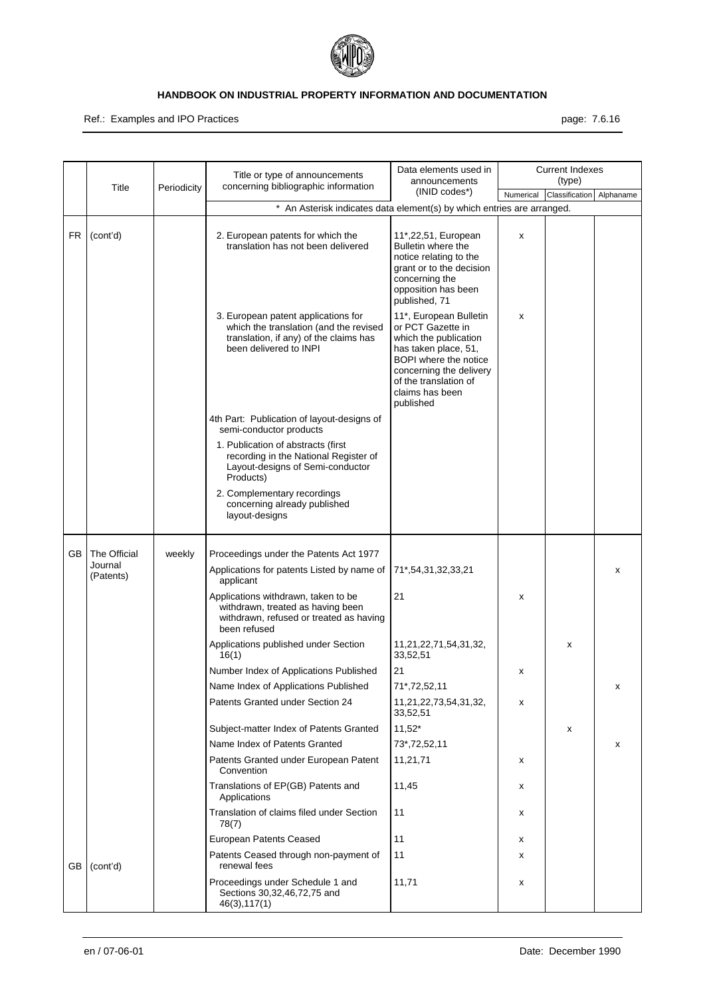

Ref.: Examples and IPO Practices **page: 7.6.16** page: 7.6.16

|     | Title                | Periodicity | Title or type of announcements<br>concerning bibliographic information                                                                            | Data elements used in<br>announcements                                                                                                                                                                    |           | <b>Current Indexes</b><br>(type) |           |
|-----|----------------------|-------------|---------------------------------------------------------------------------------------------------------------------------------------------------|-----------------------------------------------------------------------------------------------------------------------------------------------------------------------------------------------------------|-----------|----------------------------------|-----------|
|     |                      |             |                                                                                                                                                   | (INID codes*)                                                                                                                                                                                             | Numerical | Classification                   | Alphaname |
|     |                      |             | * An Asterisk indicates data element(s) by which entries are arranged.                                                                            |                                                                                                                                                                                                           |           |                                  |           |
| FR. | (cont'd)             |             | 2. European patents for which the<br>translation has not been delivered                                                                           | 11*,22,51, European<br>Bulletin where the<br>notice relating to the<br>grant or to the decision<br>concerning the<br>opposition has been<br>published, 71                                                 | X         |                                  |           |
|     |                      |             | 3. European patent applications for<br>which the translation (and the revised<br>translation, if any) of the claims has<br>been delivered to INPI | 11*, European Bulletin<br>or PCT Gazette in<br>which the publication<br>has taken place, 51,<br>BOPI where the notice<br>concerning the delivery<br>of the translation of<br>claims has been<br>published | х         |                                  |           |
|     |                      |             | 4th Part: Publication of layout-designs of<br>semi-conductor products                                                                             |                                                                                                                                                                                                           |           |                                  |           |
|     |                      |             | 1. Publication of abstracts (first<br>recording in the National Register of<br>Layout-designs of Semi-conductor<br>Products)                      |                                                                                                                                                                                                           |           |                                  |           |
|     |                      |             | 2. Complementary recordings<br>concerning already published<br>layout-designs                                                                     |                                                                                                                                                                                                           |           |                                  |           |
| GB. | The Official         | weekly      | Proceedings under the Patents Act 1977                                                                                                            |                                                                                                                                                                                                           |           |                                  |           |
|     | Journal<br>(Patents) |             | Applications for patents Listed by name of<br>applicant                                                                                           | 71*,54,31,32,33,21                                                                                                                                                                                        |           |                                  | x         |
|     |                      |             | Applications withdrawn, taken to be<br>withdrawn, treated as having been<br>withdrawn, refused or treated as having<br>been refused               | 21                                                                                                                                                                                                        | x         |                                  |           |
|     |                      |             | Applications published under Section<br>16(1)                                                                                                     | 11,21,22,71,54,31,32,<br>33,52,51                                                                                                                                                                         |           | x                                |           |
|     |                      |             | Number Index of Applications Published                                                                                                            | 21                                                                                                                                                                                                        | х         |                                  |           |
|     |                      |             | Name Index of Applications Published                                                                                                              | 71*,72,52,11                                                                                                                                                                                              |           |                                  | х         |
|     |                      |             | Patents Granted under Section 24                                                                                                                  | 11,21,22,73,54,31,32,<br>33,52,51                                                                                                                                                                         | х         |                                  |           |
|     |                      |             | Subject-matter Index of Patents Granted                                                                                                           | $11,52*$                                                                                                                                                                                                  |           | x                                |           |
|     |                      |             | Name Index of Patents Granted                                                                                                                     | 73*,72,52,11                                                                                                                                                                                              |           |                                  | x         |
|     |                      |             | Patents Granted under European Patent<br>Convention                                                                                               | 11,21,71                                                                                                                                                                                                  | x         |                                  |           |
|     |                      |             | Translations of EP(GB) Patents and<br>Applications                                                                                                | 11,45                                                                                                                                                                                                     | x         |                                  |           |
|     |                      |             | Translation of claims filed under Section<br>78(7)                                                                                                | 11                                                                                                                                                                                                        | x         |                                  |           |
|     |                      |             | European Patents Ceased                                                                                                                           | 11                                                                                                                                                                                                        | х         |                                  |           |
| GB  | (cont'd)             |             | Patents Ceased through non-payment of<br>renewal fees                                                                                             | 11                                                                                                                                                                                                        | x         |                                  |           |
|     |                      |             | Proceedings under Schedule 1 and<br>Sections 30,32,46,72,75 and<br>46(3), 117(1)                                                                  | 11,71                                                                                                                                                                                                     | х         |                                  |           |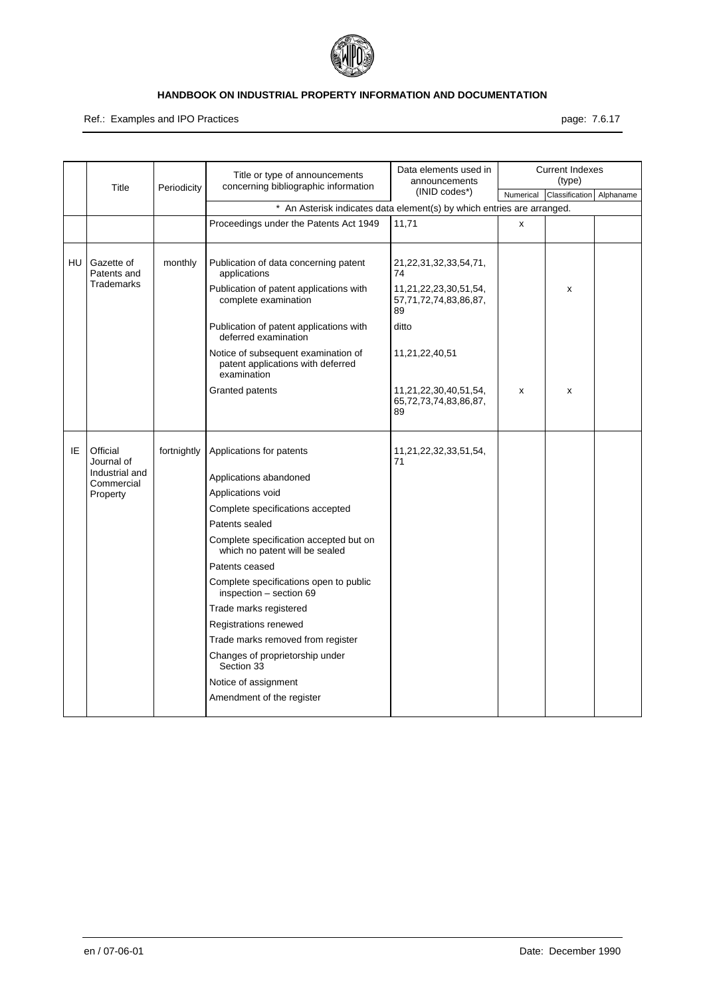

Ref.: Examples and IPO Practices **page: 7.6.17** and in the set of the set of the set of the set of the set of the set of the set of the set of the set of the set of the set of the set of the set of the set of the set of th

|    |                                                |             | Title or type of announcements<br>concerning bibliographic information                  | Data elements used in<br>announcements               |           | <b>Current Indexes</b><br>(type) |           |
|----|------------------------------------------------|-------------|-----------------------------------------------------------------------------------------|------------------------------------------------------|-----------|----------------------------------|-----------|
|    | Title                                          | Periodicity |                                                                                         | $(INID codes*)$                                      | Numerical | Classification                   | Alphaname |
|    |                                                |             | * An Asterisk indicates data element(s) by which entries are arranged.                  |                                                      |           |                                  |           |
|    |                                                |             | Proceedings under the Patents Act 1949                                                  | 11,71                                                | X         |                                  |           |
| HU | Gazette of<br>Patents and<br><b>Trademarks</b> | monthly     | Publication of data concerning patent<br>applications                                   | 21,22,31,32,33,54,71,<br>74                          |           |                                  |           |
|    |                                                |             | Publication of patent applications with<br>complete examination                         | 11,21,22,23,30,51,54,<br>57,71,72,74,83,86,87,<br>89 |           | x                                |           |
|    |                                                |             | Publication of patent applications with<br>deferred examination                         | ditto                                                |           |                                  |           |
|    |                                                |             | Notice of subsequent examination of<br>patent applications with deferred<br>examination | 11,21,22,40,51                                       |           |                                  |           |
|    |                                                |             | Granted patents                                                                         | 11,21,22,30,40,51,54,<br>65,72,73,74,83,86,87,<br>89 | x         | x                                |           |
| ΙE | Official<br>Journal of                         | fortnightly | Applications for patents                                                                | 11,21,22,32,33,51,54,<br>71                          |           |                                  |           |
|    | Industrial and<br>Commercial                   |             | Applications abandoned                                                                  |                                                      |           |                                  |           |
|    | Property                                       |             | Applications void                                                                       |                                                      |           |                                  |           |
|    |                                                |             | Complete specifications accepted                                                        |                                                      |           |                                  |           |
|    |                                                |             | Patents sealed                                                                          |                                                      |           |                                  |           |
|    |                                                |             | Complete specification accepted but on<br>which no patent will be sealed                |                                                      |           |                                  |           |
|    |                                                |             | Patents ceased                                                                          |                                                      |           |                                  |           |
|    |                                                |             | Complete specifications open to public<br>inspection - section 69                       |                                                      |           |                                  |           |
|    |                                                |             | Trade marks registered                                                                  |                                                      |           |                                  |           |
|    |                                                |             | Registrations renewed                                                                   |                                                      |           |                                  |           |
|    |                                                |             | Trade marks removed from register                                                       |                                                      |           |                                  |           |
|    |                                                |             | Changes of proprietorship under<br>Section 33                                           |                                                      |           |                                  |           |
|    |                                                |             | Notice of assignment                                                                    |                                                      |           |                                  |           |
|    |                                                |             | Amendment of the register                                                               |                                                      |           |                                  |           |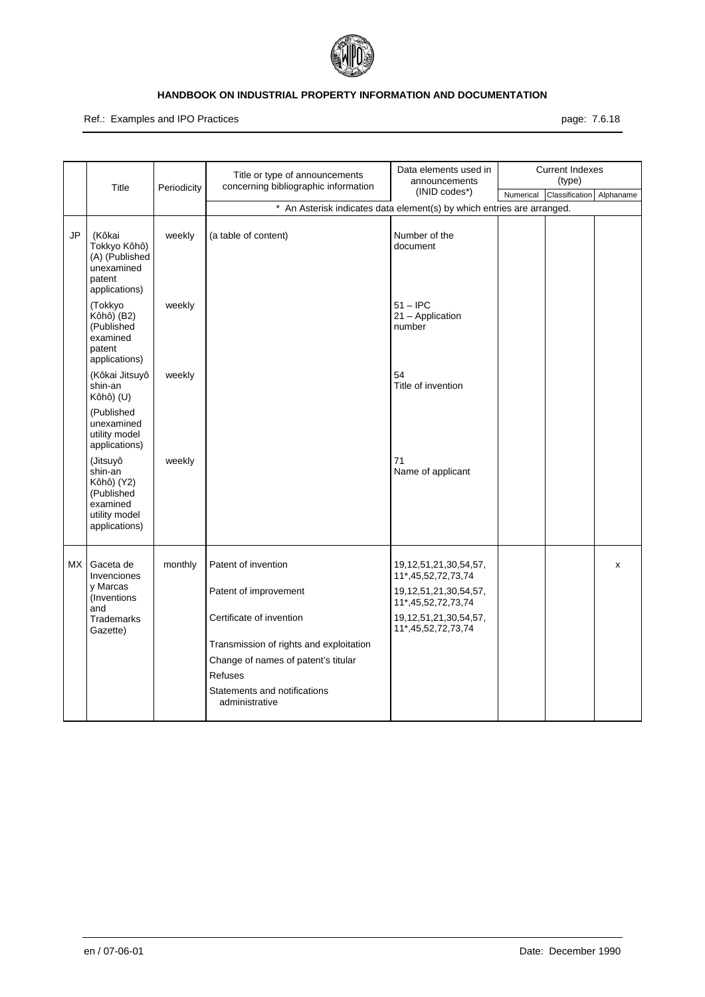

Ref.: Examples and IPO Practices **page: 7.6.18** page: 7.6.18

|      | Title                                                                                         | Periodicity | Title or type of announcements<br>concerning bibliographic information | Data elements used in<br>announcements                                                                      |           | <b>Current Indexes</b><br>(type) |           |
|------|-----------------------------------------------------------------------------------------------|-------------|------------------------------------------------------------------------|-------------------------------------------------------------------------------------------------------------|-----------|----------------------------------|-----------|
|      |                                                                                               |             |                                                                        | (INID codes*)                                                                                               | Numerical | Classification                   | Alphaname |
|      |                                                                                               |             | * An Asterisk indicates data element(s) by which entries are arranged. |                                                                                                             |           |                                  |           |
| JP   | (Kôkai<br>Tokkyo Kôhô)<br>(A) (Published<br>unexamined<br>patent<br>applications)             | weekly      | (a table of content)                                                   | Number of the<br>document                                                                                   |           |                                  |           |
|      | (Tokkyo<br>Kôhô) (B2)<br>(Published<br>examined<br>patent<br>applications)                    | weekly      |                                                                        | $51 -$ IPC<br>21 - Application<br>number                                                                    |           |                                  |           |
|      | (Kôkai Jitsuyô<br>shin-an<br>Kôhô) (U)                                                        | weekly      |                                                                        | 54<br>Title of invention                                                                                    |           |                                  |           |
|      | (Published<br>unexamined<br>utility model<br>applications)                                    |             |                                                                        |                                                                                                             |           |                                  |           |
|      | (Jitsuyô<br>shin-an<br>Kôhô) (Y2)<br>(Published<br>examined<br>utility model<br>applications) | weekly      |                                                                        | 71<br>Name of applicant                                                                                     |           |                                  |           |
| MX I | Gaceta de<br>Invenciones<br>y Marcas<br>(Inventions)<br>and                                   | monthly     | Patent of invention<br>Patent of improvement                           | 19, 12, 51, 21, 30, 54, 57,<br>11*,45,52,72,73,74<br>19, 12, 51, 21, 30, 54, 57,<br>11*, 45, 52, 72, 73, 74 |           |                                  | X         |
|      | <b>Trademarks</b><br>Gazette)                                                                 |             | Certificate of invention                                               | 19, 12, 51, 21, 30, 54, 57,<br>11*,45,52,72,73,74                                                           |           |                                  |           |
|      |                                                                                               |             | Transmission of rights and exploitation                                |                                                                                                             |           |                                  |           |
|      |                                                                                               |             | Change of names of patent's titular                                    |                                                                                                             |           |                                  |           |
|      |                                                                                               |             | <b>Refuses</b>                                                         |                                                                                                             |           |                                  |           |
|      |                                                                                               |             | Statements and notifications<br>administrative                         |                                                                                                             |           |                                  |           |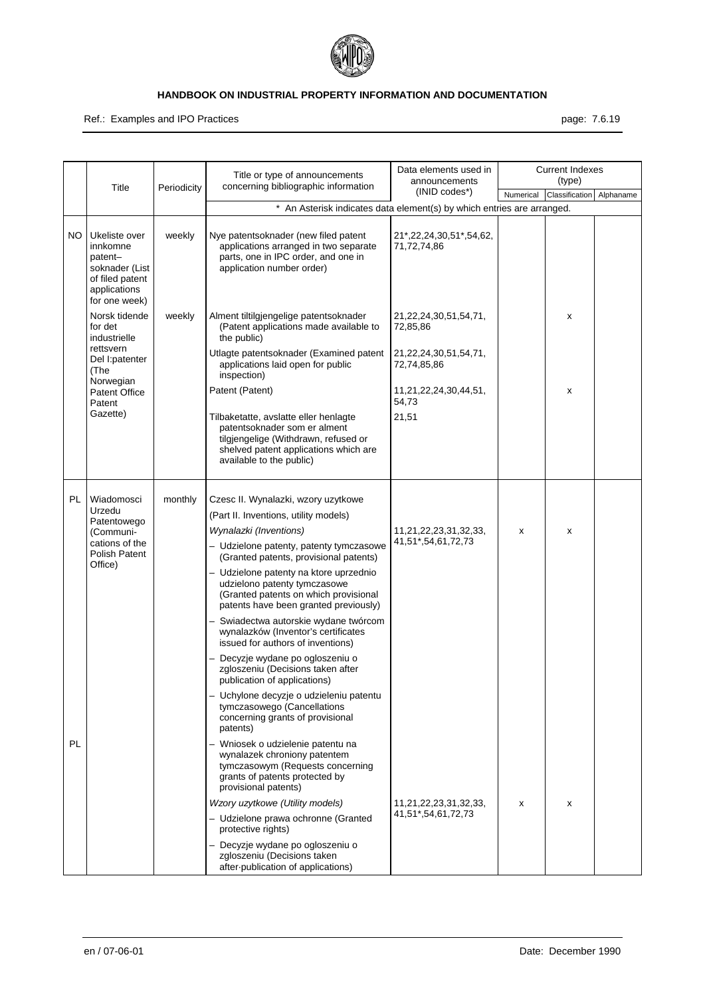

#### Ref.: Examples and IPO Practices **page: 7.6.19** page: 7.6.19

|           |                                                                                                            |             | Title or type of announcements<br>concerning bibliographic information                                                                                                                            | Data elements used in<br>announcements      |           | <b>Current Indexes</b><br>(type) |           |
|-----------|------------------------------------------------------------------------------------------------------------|-------------|---------------------------------------------------------------------------------------------------------------------------------------------------------------------------------------------------|---------------------------------------------|-----------|----------------------------------|-----------|
|           | Title                                                                                                      | Periodicity |                                                                                                                                                                                                   | (INID codes*)                               | Numerical | Classification                   | Alphaname |
|           |                                                                                                            |             | * An Asterisk indicates data element(s) by which entries are arranged.                                                                                                                            |                                             |           |                                  |           |
| NO.       | Ukeliste over<br>innkomne<br>patent-<br>soknader (List<br>of filed patent<br>applications<br>for one week) | weekly      | Nye patentsoknader (new filed patent<br>applications arranged in two separate<br>parts, one in IPC order, and one in<br>application number order)                                                 | 21*,22,24,30,51*,54,62,<br>71,72,74,86      |           |                                  |           |
|           | Norsk tidende<br>for det<br>industrielle<br>rettsvern<br>Del I: patenter<br>(The                           | weekly      | Alment tiltilgjengelige patentsoknader<br>(Patent applications made available to<br>the public)                                                                                                   | 21, 22, 24, 30, 51, 54, 71,<br>72,85,86     |           | X                                |           |
|           |                                                                                                            |             | Utlagte patentsoknader (Examined patent<br>applications laid open for public<br>inspection)                                                                                                       | 21, 22, 24, 30, 51, 54, 71,<br>72,74,85,86  |           |                                  |           |
|           | Norwegian<br><b>Patent Office</b><br>Patent                                                                |             | Patent (Patent)                                                                                                                                                                                   | 11,21,22,24,30,44,51,<br>54,73              |           | X                                |           |
|           | Gazette)                                                                                                   |             | Tilbaketatte, avslatte eller henlagte<br>patentsoknader som er alment<br>tilgjengelige (Withdrawn, refused or<br>shelved patent applications which are<br>available to the public)                | 21,51                                       |           |                                  |           |
| <b>PL</b> | Wiadomosci<br>Urzedu<br>Patentowego<br>(Communi-<br>cations of the<br>Polish Patent                        | monthly     | Czesc II. Wynalazki, wzory uzytkowe<br>(Part II. Inventions, utility models)<br>Wynalazki (Inventions)<br>- Udzielone patenty, patenty tymczasowe<br>(Granted patents, provisional patents)       | 11,21,22,23,31,32,33,<br>41,51*,54,61,72,73 | x         | X                                |           |
|           | Office)                                                                                                    |             | - Udzielone patenty na ktore uprzednio<br>udzielono patenty tymczasowe<br>(Granted patents on which provisional<br>patents have been granted previously)<br>- Swiadectwa autorskie wydane twórcom |                                             |           |                                  |           |
|           |                                                                                                            |             | wynalazków (Inventor's certificates<br>issued for authors of inventions)                                                                                                                          |                                             |           |                                  |           |
|           |                                                                                                            |             | Decyzje wydane po ogloszeniu o<br>zgloszeniu (Decisions taken after<br>publication of applications)                                                                                               |                                             |           |                                  |           |
|           |                                                                                                            |             | - Uchylone decyzje o udzieleniu patentu<br>tymczasowego (Cancellations<br>concerning grants of provisional<br>patents)                                                                            |                                             |           |                                  |           |
| <b>PL</b> |                                                                                                            |             | - Wniosek o udzielenie patentu na<br>wynalazek chroniony patentem<br>tymczasowym (Requests concerning<br>grants of patents protected by<br>provisional patents)                                   |                                             |           |                                  |           |
|           |                                                                                                            |             | Wzory uzytkowe (Utility models)                                                                                                                                                                   | 11,21,22,23,31,32,33,                       | X         | x                                |           |
|           |                                                                                                            |             | - Udzielone prawa ochronne (Granted<br>protective rights)                                                                                                                                         | 41,51*,54,61,72,73                          |           |                                  |           |
|           |                                                                                                            |             | - Decyzje wydane po ogloszeniu o<br>zgloszeniu (Decisions taken<br>after-publication of applications)                                                                                             |                                             |           |                                  |           |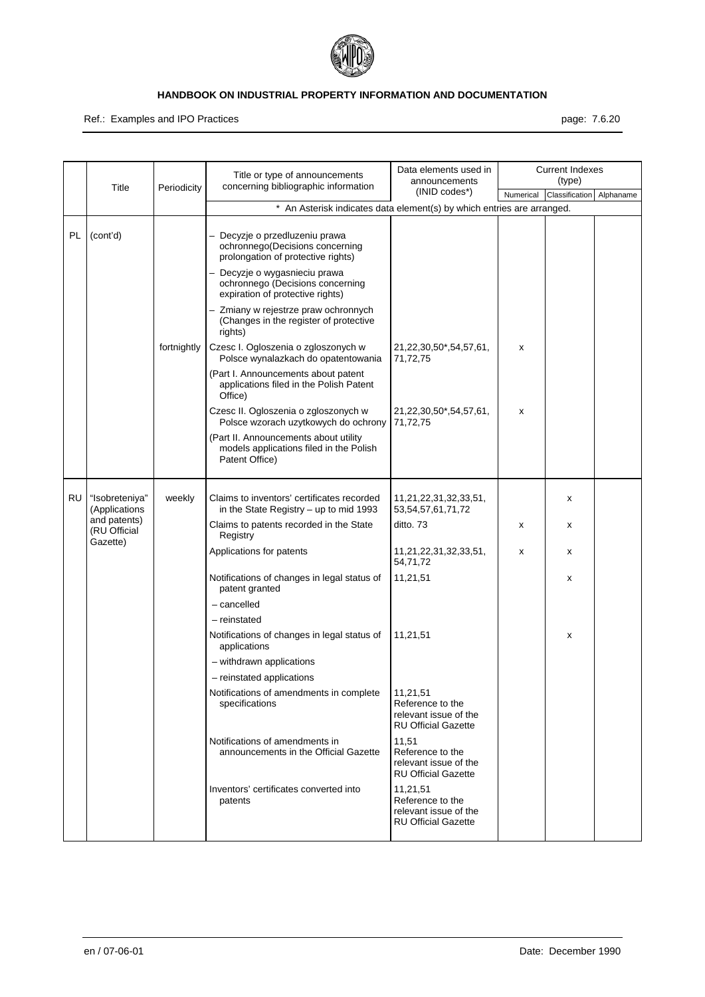

Ref.: Examples and IPO Practices **page: 7.6.20** page: 7.6.20

|    |                                          |             | Title or type of announcements                                                                           | Data elements used in<br>announcements                                              |           | <b>Current Indexes</b><br>(type) |           |
|----|------------------------------------------|-------------|----------------------------------------------------------------------------------------------------------|-------------------------------------------------------------------------------------|-----------|----------------------------------|-----------|
|    | Title                                    | Periodicity | concerning bibliographic information                                                                     | (INID codes*)                                                                       | Numerical | Classification                   | Alphaname |
|    |                                          |             | * An Asterisk indicates data element(s) by which entries are arranged.                                   |                                                                                     |           |                                  |           |
| PL | (cont'd)                                 |             | - Decyzje o przedluzeniu prawa<br>ochronnego (Decisions concerning<br>prolongation of protective rights) |                                                                                     |           |                                  |           |
|    |                                          |             | - Decyzje o wygasnieciu prawa<br>ochronnego (Decisions concerning<br>expiration of protective rights)    |                                                                                     |           |                                  |           |
|    |                                          |             | Zmiany w rejestrze praw ochronnych<br>(Changes in the register of protective<br>rights)                  |                                                                                     |           |                                  |           |
|    |                                          | fortnightly | Czesc I. Ogloszenia o zgloszonych w<br>Polsce wynalazkach do opatentowania                               | 21,22,30,50*,54,57,61,<br>71,72,75                                                  | x         |                                  |           |
|    |                                          |             | (Part I. Announcements about patent<br>applications filed in the Polish Patent<br>Office)                |                                                                                     |           |                                  |           |
|    |                                          |             | Czesc II. Ogloszenia o zgloszonych w<br>Polsce wzorach uzytkowych do ochrony                             | 21,22,30,50*,54,57,61,<br>71,72,75                                                  | x         |                                  |           |
|    |                                          |             | (Part II. Announcements about utility<br>models applications filed in the Polish<br>Patent Office)       |                                                                                     |           |                                  |           |
| RU | "Isobreteniya"<br>(Applications          | weekly      | Claims to inventors' certificates recorded<br>in the State Registry $-$ up to mid 1993                   | 11,21,22,31,32,33,51,<br>53,54,57,61,71,72                                          |           | x                                |           |
|    | and patents)<br>(RU Official<br>Gazette) |             | Claims to patents recorded in the State<br>Registry                                                      | ditto. 73                                                                           | х         | x                                |           |
|    |                                          |             | Applications for patents                                                                                 | 11,21,22,31,32,33,51,<br>54,71,72                                                   | X         | x                                |           |
|    |                                          |             | Notifications of changes in legal status of<br>patent granted                                            | 11,21,51                                                                            |           | x                                |           |
|    |                                          |             | - cancelled                                                                                              |                                                                                     |           |                                  |           |
|    |                                          |             | - reinstated                                                                                             |                                                                                     |           |                                  |           |
|    |                                          |             | Notifications of changes in legal status of<br>applications                                              | 11,21,51                                                                            |           | x                                |           |
|    |                                          |             | - withdrawn applications                                                                                 |                                                                                     |           |                                  |           |
|    |                                          |             | - reinstated applications                                                                                |                                                                                     |           |                                  |           |
|    |                                          |             | Notifications of amendments in complete<br>specifications                                                | 11,21,51<br>Reference to the<br>relevant issue of the<br><b>RU Official Gazette</b> |           |                                  |           |
|    |                                          |             | Notifications of amendments in<br>announcements in the Official Gazette                                  | 11,51<br>Reference to the<br>relevant issue of the<br><b>RU Official Gazette</b>    |           |                                  |           |
|    |                                          |             | Inventors' certificates converted into<br>patents                                                        | 11,21,51<br>Reference to the<br>relevant issue of the<br><b>RU Official Gazette</b> |           |                                  |           |
|    |                                          |             |                                                                                                          |                                                                                     |           |                                  |           |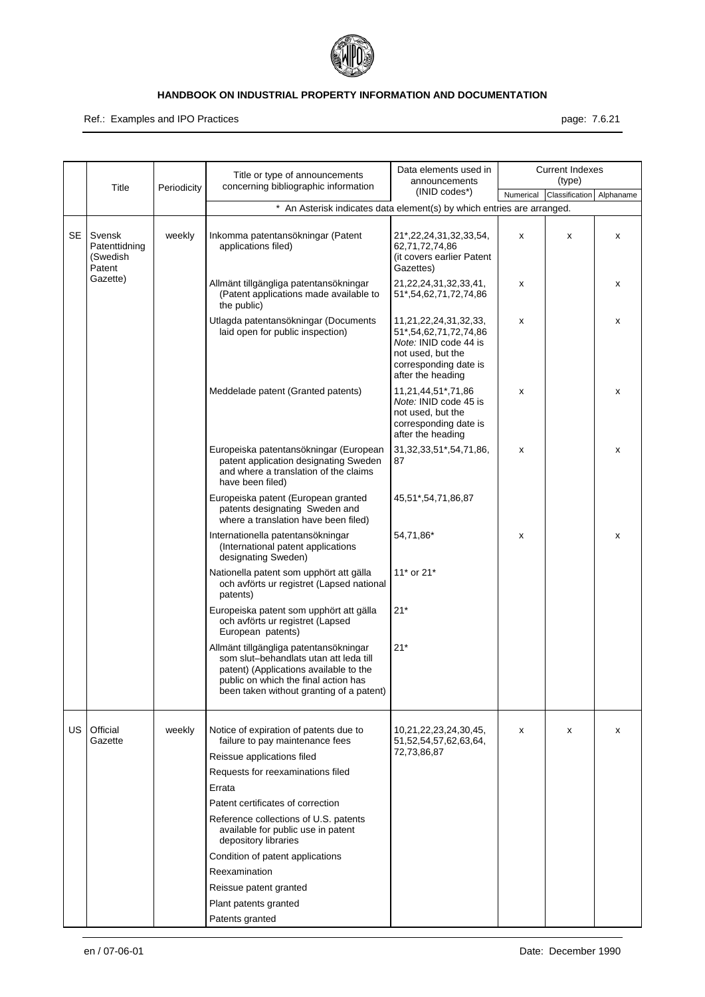

Ref.: Examples and IPO Practices **page: 7.6.21** and intervals and intervals and intervals and intervals and intervals and intervals and intervals and intervals and intervals are page: 7.6.21

|     | Title                                         | Periodicity | Title or type of announcements<br>concerning bibliographic information                                                                                                                                         | Data elements used in<br>announcements                                                                                                     |           | <b>Current Indexes</b><br>(type) |           |
|-----|-----------------------------------------------|-------------|----------------------------------------------------------------------------------------------------------------------------------------------------------------------------------------------------------------|--------------------------------------------------------------------------------------------------------------------------------------------|-----------|----------------------------------|-----------|
|     |                                               |             |                                                                                                                                                                                                                | (INID codes*)                                                                                                                              | Numerical | Classification                   | Alphaname |
|     |                                               |             | * An Asterisk indicates data element(s) by which entries are arranged.                                                                                                                                         |                                                                                                                                            |           |                                  |           |
| SE  | Svensk<br>Patenttidning<br>(Swedish<br>Patent | weekly      | Inkomma patentansökningar (Patent<br>applications filed)                                                                                                                                                       | 21*,22,24,31,32,33,54,<br>62,71,72,74,86<br>(it covers earlier Patent<br>Gazettes)                                                         | x         | x                                | x         |
|     | Gazette)                                      |             | Allmänt tillgängliga patentansökningar<br>(Patent applications made available to<br>the public)                                                                                                                | 21, 22, 24, 31, 32, 33, 41,<br>51*,54,62,71,72,74,86                                                                                       | х         |                                  | x         |
|     |                                               |             | Utlagda patentansökningar (Documents<br>laid open for public inspection)                                                                                                                                       | 11,21,22,24,31,32,33,<br>51*,54,62,71,72,74,86<br>Note: INID code 44 is<br>not used, but the<br>corresponding date is<br>after the heading | х         |                                  | x         |
|     |                                               |             | Meddelade patent (Granted patents)                                                                                                                                                                             | 11,21,44,51*,71,86<br>Note: INID code 45 is<br>not used, but the<br>corresponding date is<br>after the heading                             | х         |                                  | x         |
|     |                                               |             | Europeiska patentansökningar (European<br>patent application designating Sweden<br>and where a translation of the claims<br>have been filed)                                                                   | 31, 32, 33, 51*, 54, 71, 86,<br>87                                                                                                         | X         |                                  | x         |
|     |                                               |             | Europeiska patent (European granted<br>patents designating Sweden and<br>where a translation have been filed)                                                                                                  | 45,51*,54,71,86,87                                                                                                                         |           |                                  |           |
|     |                                               |             | Internationella patentansökningar<br>(International patent applications<br>designating Sweden)                                                                                                                 | 54,71,86*                                                                                                                                  | x         |                                  | x         |
|     |                                               |             | Nationella patent som upphört att gälla<br>och avförts ur registret (Lapsed national<br>patents)                                                                                                               | 11* or 21*                                                                                                                                 |           |                                  |           |
|     |                                               |             | Europeiska patent som upphört att gälla<br>och avförts ur registret (Lapsed<br>European patents)                                                                                                               | $21*$                                                                                                                                      |           |                                  |           |
|     |                                               |             | Allmänt tillgängliga patentansökningar<br>som slut-behandlats utan att leda till<br>patent) (Applications available to the<br>public on which the final action has<br>been taken without granting of a patent) | $21*$                                                                                                                                      |           |                                  |           |
| US. | Official                                      | weekly      | Notice of expiration of patents due to                                                                                                                                                                         | 10,21,22,23,24,30,45,                                                                                                                      | x         | x                                | x         |
|     | Gazette                                       |             | failure to pay maintenance fees                                                                                                                                                                                | 51,52,54,57,62,63,64,<br>72,73,86,87                                                                                                       |           |                                  |           |
|     |                                               |             | Reissue applications filed                                                                                                                                                                                     |                                                                                                                                            |           |                                  |           |
|     |                                               |             | Requests for reexaminations filed                                                                                                                                                                              |                                                                                                                                            |           |                                  |           |
|     |                                               |             | Errata                                                                                                                                                                                                         |                                                                                                                                            |           |                                  |           |
|     |                                               |             | Patent certificates of correction                                                                                                                                                                              |                                                                                                                                            |           |                                  |           |
|     |                                               |             | Reference collections of U.S. patents<br>available for public use in patent<br>depository libraries                                                                                                            |                                                                                                                                            |           |                                  |           |
|     |                                               |             | Condition of patent applications                                                                                                                                                                               |                                                                                                                                            |           |                                  |           |
|     |                                               |             | Reexamination                                                                                                                                                                                                  |                                                                                                                                            |           |                                  |           |
|     |                                               |             | Reissue patent granted                                                                                                                                                                                         |                                                                                                                                            |           |                                  |           |
|     |                                               |             | Plant patents granted                                                                                                                                                                                          |                                                                                                                                            |           |                                  |           |
|     |                                               |             | Patents granted                                                                                                                                                                                                |                                                                                                                                            |           |                                  |           |